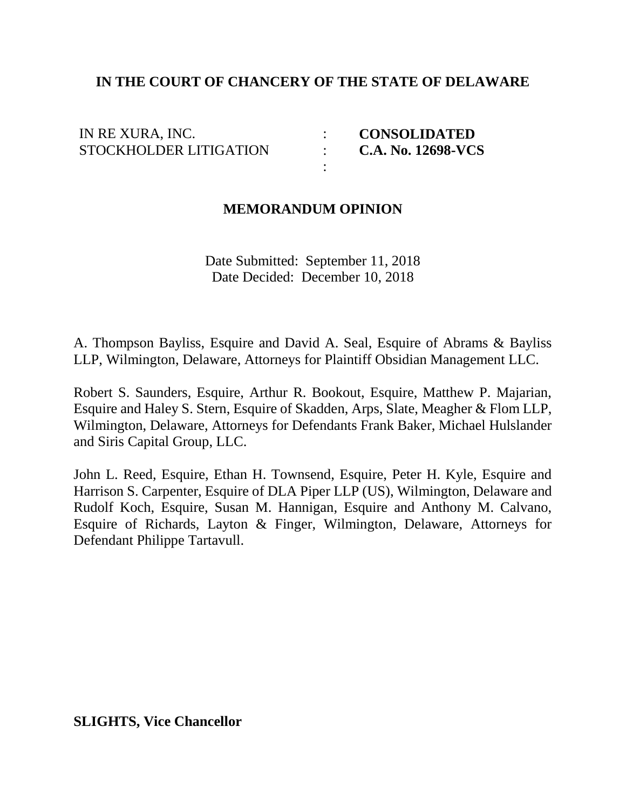### **IN THE COURT OF CHANCERY OF THE STATE OF DELAWARE**

: : :

| IN RE XURA, INC.              |  |
|-------------------------------|--|
| <b>STOCKHOLDER LITIGATION</b> |  |

 **CONSOLIDATED C.A. No. 12698-VCS**

#### **MEMORANDUM OPINION**

Date Submitted: September 11, 2018 Date Decided: December 10, 2018

A. Thompson Bayliss, Esquire and David A. Seal, Esquire of Abrams & Bayliss LLP, Wilmington, Delaware, Attorneys for Plaintiff Obsidian Management LLC.

Robert S. Saunders, Esquire, Arthur R. Bookout, Esquire, Matthew P. Majarian, Esquire and Haley S. Stern, Esquire of Skadden, Arps, Slate, Meagher & Flom LLP, Wilmington, Delaware, Attorneys for Defendants Frank Baker, Michael Hulslander and Siris Capital Group, LLC.

John L. Reed, Esquire, Ethan H. Townsend, Esquire, Peter H. Kyle, Esquire and Harrison S. Carpenter, Esquire of DLA Piper LLP (US), Wilmington, Delaware and Rudolf Koch, Esquire, Susan M. Hannigan, Esquire and Anthony M. Calvano, Esquire of Richards, Layton & Finger, Wilmington, Delaware, Attorneys for Defendant Philippe Tartavull.

**SLIGHTS, Vice Chancellor**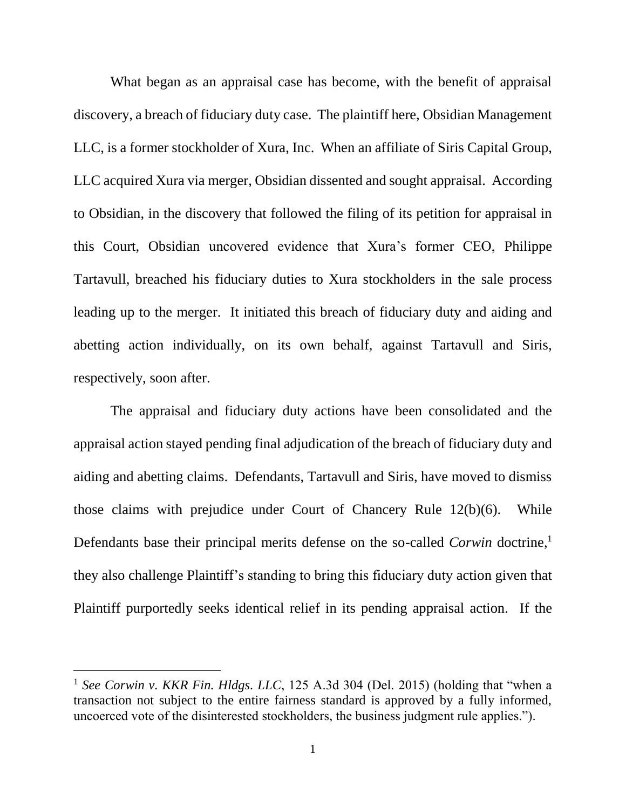What began as an appraisal case has become, with the benefit of appraisal discovery, a breach of fiduciary duty case. The plaintiff here, Obsidian Management LLC, is a former stockholder of Xura, Inc. When an affiliate of Siris Capital Group, LLC acquired Xura via merger, Obsidian dissented and sought appraisal. According to Obsidian, in the discovery that followed the filing of its petition for appraisal in this Court, Obsidian uncovered evidence that Xura's former CEO, Philippe Tartavull, breached his fiduciary duties to Xura stockholders in the sale process leading up to the merger. It initiated this breach of fiduciary duty and aiding and abetting action individually, on its own behalf, against Tartavull and Siris, respectively, soon after.

The appraisal and fiduciary duty actions have been consolidated and the appraisal action stayed pending final adjudication of the breach of fiduciary duty and aiding and abetting claims. Defendants, Tartavull and Siris, have moved to dismiss those claims with prejudice under Court of Chancery Rule 12(b)(6). While Defendants base their principal merits defense on the so-called *Corwin* doctrine,<sup>1</sup> they also challenge Plaintiff's standing to bring this fiduciary duty action given that Plaintiff purportedly seeks identical relief in its pending appraisal action. If the

<sup>1</sup> *See Corwin v. KKR Fin. Hldgs. LLC*, 125 A.3d 304 (Del. 2015) (holding that "when a transaction not subject to the entire fairness standard is approved by a fully informed, uncoerced vote of the disinterested stockholders, the business judgment rule applies.").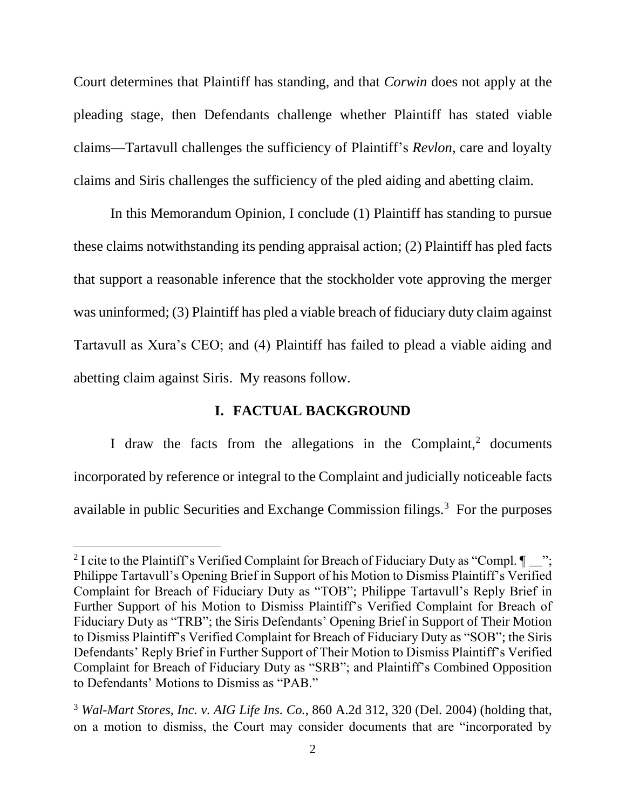Court determines that Plaintiff has standing, and that *Corwin* does not apply at the pleading stage, then Defendants challenge whether Plaintiff has stated viable claims—Tartavull challenges the sufficiency of Plaintiff's *Revlon*, care and loyalty claims and Siris challenges the sufficiency of the pled aiding and abetting claim.

In this Memorandum Opinion, I conclude (1) Plaintiff has standing to pursue these claims notwithstanding its pending appraisal action; (2) Plaintiff has pled facts that support a reasonable inference that the stockholder vote approving the merger was uninformed; (3) Plaintiff has pled a viable breach of fiduciary duty claim against Tartavull as Xura's CEO; and (4) Plaintiff has failed to plead a viable aiding and abetting claim against Siris. My reasons follow.

## **I. FACTUAL BACKGROUND**

I draw the facts from the allegations in the Complaint, $2$  documents incorporated by reference or integral to the Complaint and judicially noticeable facts available in public Securities and Exchange Commission filings.<sup>3</sup> For the purposes

<sup>&</sup>lt;sup>2</sup> I cite to the Plaintiff's Verified Complaint for Breach of Fiduciary Duty as "Compl.  $\P$ "; Philippe Tartavull's Opening Brief in Support of his Motion to Dismiss Plaintiff's Verified Complaint for Breach of Fiduciary Duty as "TOB"; Philippe Tartavull's Reply Brief in Further Support of his Motion to Dismiss Plaintiff's Verified Complaint for Breach of Fiduciary Duty as "TRB"; the Siris Defendants' Opening Brief in Support of Their Motion to Dismiss Plaintiff's Verified Complaint for Breach of Fiduciary Duty as "SOB"; the Siris Defendants' Reply Brief in Further Support of Their Motion to Dismiss Plaintiff's Verified Complaint for Breach of Fiduciary Duty as "SRB"; and Plaintiff's Combined Opposition to Defendants' Motions to Dismiss as "PAB."

<sup>3</sup> *Wal-Mart Stores, Inc. v. AIG Life Ins. Co.*, 860 A.2d 312, 320 (Del. 2004) (holding that, on a motion to dismiss, the Court may consider documents that are "incorporated by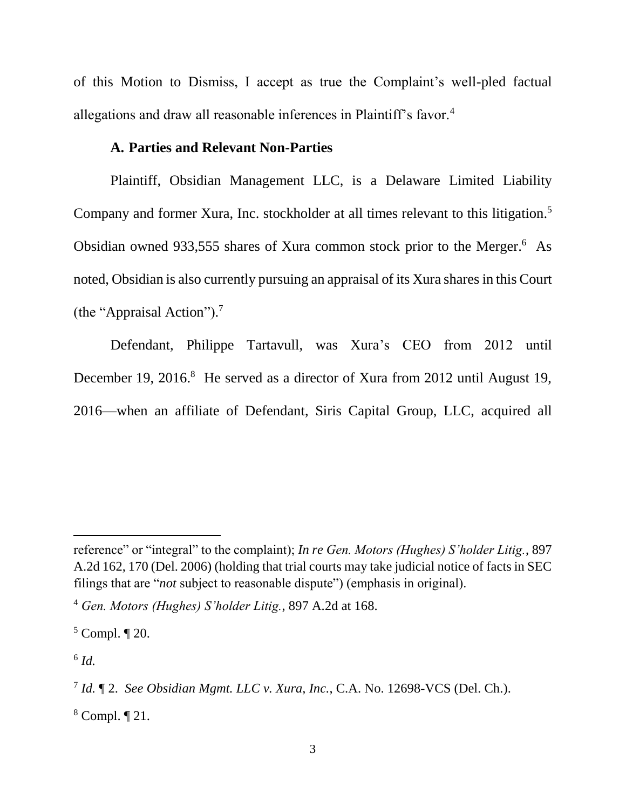of this Motion to Dismiss, I accept as true the Complaint's well-pled factual allegations and draw all reasonable inferences in Plaintiff's favor.<sup>4</sup>

### **A. Parties and Relevant Non-Parties**

Plaintiff, Obsidian Management LLC, is a Delaware Limited Liability Company and former Xura, Inc. stockholder at all times relevant to this litigation.<sup>5</sup> Obsidian owned 933,555 shares of Xura common stock prior to the Merger.<sup>6</sup> As noted, Obsidian is also currently pursuing an appraisal of its Xura shares in this Court (the "Appraisal Action"). 7

Defendant, Philippe Tartavull, was Xura's CEO from 2012 until December 19, 2016.<sup>8</sup> He served as a director of Xura from 2012 until August 19, 2016—when an affiliate of Defendant, Siris Capital Group, LLC, acquired all

6 *Id.*

reference" or "integral" to the complaint); *In re Gen. Motors (Hughes) S'holder Litig.*, 897 A.2d 162, 170 (Del. 2006) (holding that trial courts may take judicial notice of facts in SEC filings that are "*not* subject to reasonable dispute") (emphasis in original).

<sup>4</sup> *Gen. Motors (Hughes) S'holder Litig.*, 897 A.2d at 168.

 $5$  Compl.  $\P$  20.

<sup>7</sup> *Id.* ¶ 2. *See Obsidian Mgmt. LLC v. Xura, Inc.*, C.A. No. 12698-VCS (Del. Ch.).

<sup>8</sup> Compl. ¶ 21.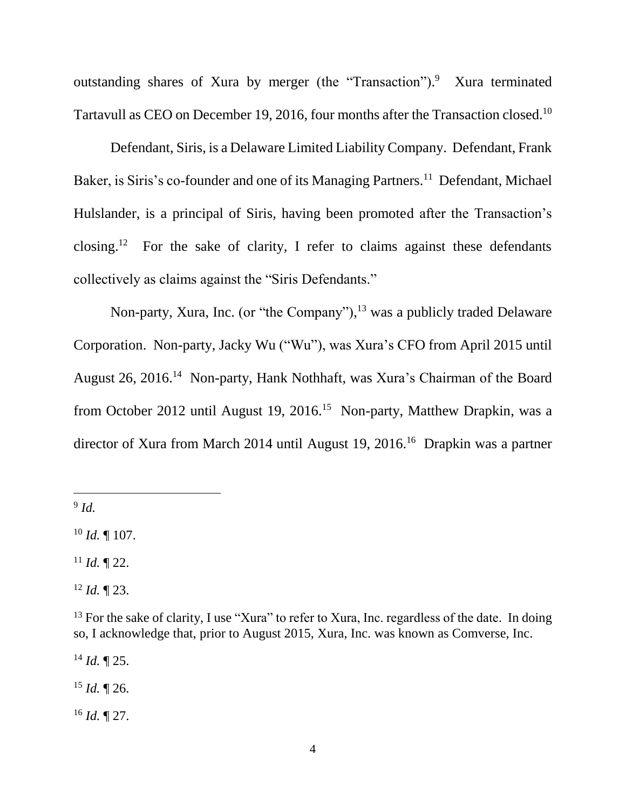outstanding shares of Xura by merger (the "Transaction").<sup>9</sup> Xura terminated Tartavull as CEO on December 19, 2016, four months after the Transaction closed.<sup>10</sup>

Defendant, Siris, is a Delaware Limited Liability Company. Defendant, Frank Baker, is Siris's co-founder and one of its Managing Partners.<sup>11</sup> Defendant, Michael Hulslander, is a principal of Siris, having been promoted after the Transaction's closing.<sup>12</sup> For the sake of clarity, I refer to claims against these defendants collectively as claims against the "Siris Defendants."

Non-party, Xura, Inc. (or "the Company"),<sup>13</sup> was a publicly traded Delaware Corporation. Non-party, Jacky Wu ("Wu"), was Xura's CFO from April 2015 until August 26, 2016.<sup>14</sup> Non-party, Hank Nothhaft, was Xura's Chairman of the Board from October 2012 until August 19, 2016.<sup>15</sup> Non-party, Matthew Drapkin, was a director of Xura from March 2014 until August 19, 2016.<sup>16</sup> Drapkin was a partner

9 *Id.*

 $\overline{a}$ 

 $10$  *Id.* 107.

 $11$  *Id.* 122.

 $12$  *Id.*  $\P$  23.

<sup>14</sup> *Id.* ¶ 25.

<sup>15</sup> *Id.* ¶ 26.

<sup>16</sup> *Id.* ¶ 27.

 $13$  For the sake of clarity, I use "Xura" to refer to Xura, Inc. regardless of the date. In doing so, I acknowledge that, prior to August 2015, Xura, Inc. was known as Comverse, Inc.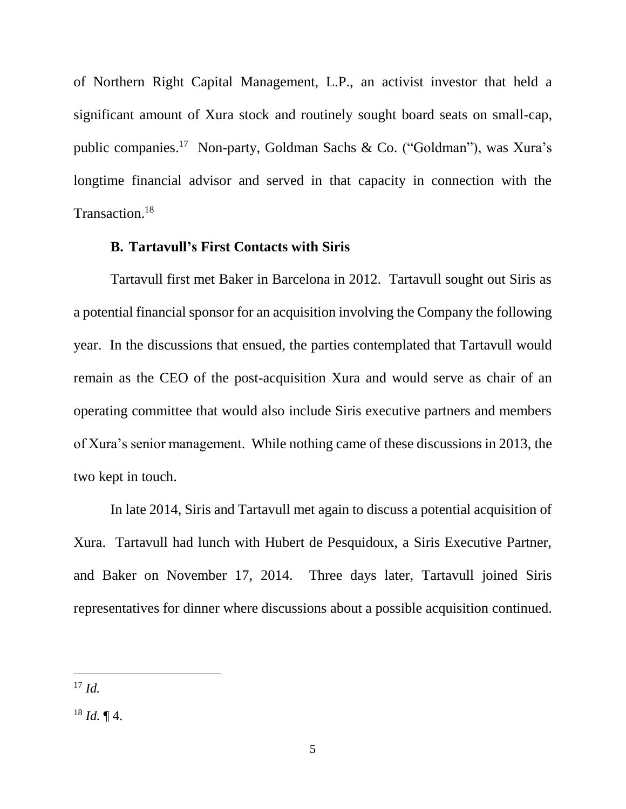of Northern Right Capital Management, L.P., an activist investor that held a significant amount of Xura stock and routinely sought board seats on small-cap, public companies. 17 Non-party, Goldman Sachs & Co. ("Goldman"), was Xura's longtime financial advisor and served in that capacity in connection with the Transaction. 18

#### **B. Tartavull's First Contacts with Siris**

Tartavull first met Baker in Barcelona in 2012. Tartavull sought out Siris as a potential financial sponsor for an acquisition involving the Company the following year. In the discussions that ensued, the parties contemplated that Tartavull would remain as the CEO of the post-acquisition Xura and would serve as chair of an operating committee that would also include Siris executive partners and members of Xura's senior management. While nothing came of these discussions in 2013, the two kept in touch.

In late 2014, Siris and Tartavull met again to discuss a potential acquisition of Xura. Tartavull had lunch with Hubert de Pesquidoux, a Siris Executive Partner, and Baker on November 17, 2014. Three days later, Tartavull joined Siris representatives for dinner where discussions about a possible acquisition continued.

<sup>17</sup> *Id.*

<sup>18</sup> *Id.* ¶ 4.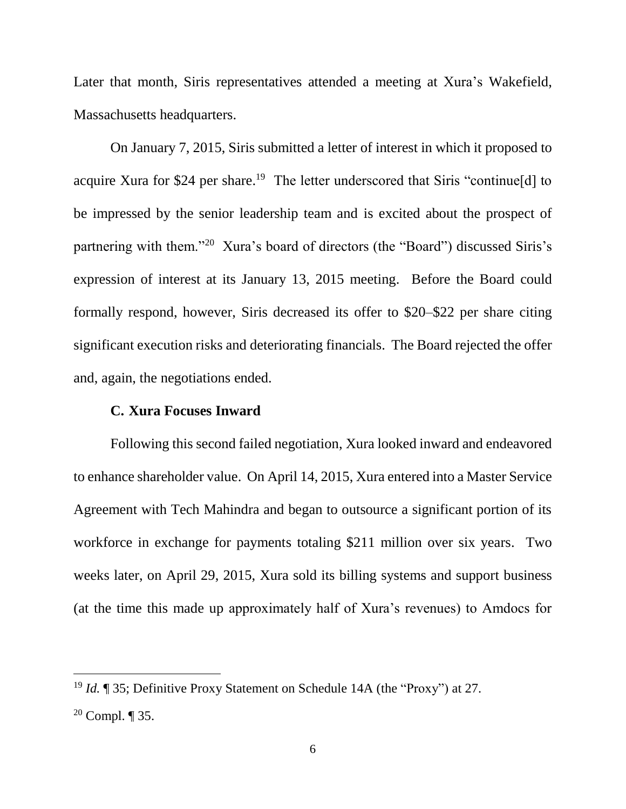Later that month, Siris representatives attended a meeting at Xura's Wakefield, Massachusetts headquarters.

On January 7, 2015, Siris submitted a letter of interest in which it proposed to acquire Xura for \$24 per share.<sup>19</sup> The letter underscored that Siris "continue[d] to be impressed by the senior leadership team and is excited about the prospect of partnering with them."<sup>20</sup> Xura's board of directors (the "Board") discussed Siris's expression of interest at its January 13, 2015 meeting. Before the Board could formally respond, however, Siris decreased its offer to \$20–\$22 per share citing significant execution risks and deteriorating financials. The Board rejected the offer and, again, the negotiations ended.

### **C. Xura Focuses Inward**

Following this second failed negotiation, Xura looked inward and endeavored to enhance shareholder value. On April 14, 2015, Xura entered into a Master Service Agreement with Tech Mahindra and began to outsource a significant portion of its workforce in exchange for payments totaling \$211 million over six years. Two weeks later, on April 29, 2015, Xura sold its billing systems and support business (at the time this made up approximately half of Xura's revenues) to Amdocs for

<sup>19</sup> *Id.* ¶ 35; Definitive Proxy Statement on Schedule 14A (the "Proxy") at 27.

<sup>&</sup>lt;sup>20</sup> Compl.  $\P$  35.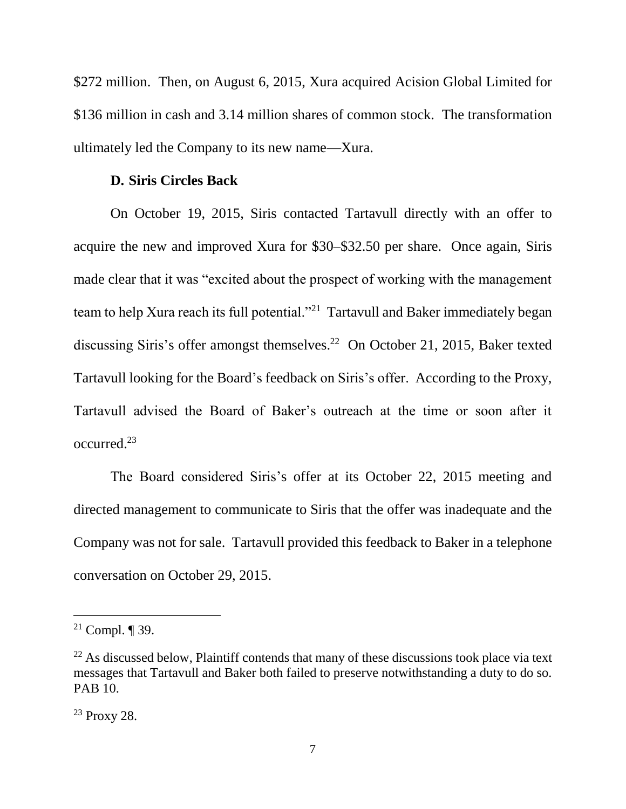\$272 million. Then, on August 6, 2015, Xura acquired Acision Global Limited for \$136 million in cash and 3.14 million shares of common stock. The transformation ultimately led the Company to its new name—Xura.

#### **D. Siris Circles Back**

On October 19, 2015, Siris contacted Tartavull directly with an offer to acquire the new and improved Xura for \$30–\$32.50 per share. Once again, Siris made clear that it was "excited about the prospect of working with the management team to help Xura reach its full potential."<sup>21</sup> Tartavull and Baker immediately began discussing Siris's offer amongst themselves. <sup>22</sup> On October 21, 2015, Baker texted Tartavull looking for the Board's feedback on Siris's offer. According to the Proxy, Tartavull advised the Board of Baker's outreach at the time or soon after it occurred.<sup>23</sup>

The Board considered Siris's offer at its October 22, 2015 meeting and directed management to communicate to Siris that the offer was inadequate and the Company was not for sale. Tartavull provided this feedback to Baker in a telephone conversation on October 29, 2015.

<sup>&</sup>lt;sup>21</sup> Compl.  $\P$  39.

 $22$  As discussed below, Plaintiff contends that many of these discussions took place via text messages that Tartavull and Baker both failed to preserve notwithstanding a duty to do so. PAB 10.

<sup>23</sup> Proxy 28.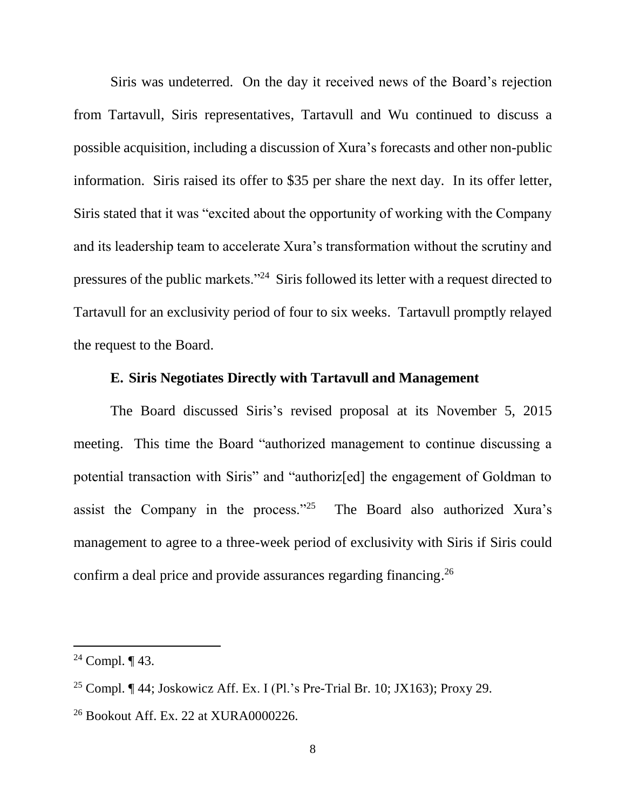Siris was undeterred. On the day it received news of the Board's rejection from Tartavull, Siris representatives, Tartavull and Wu continued to discuss a possible acquisition, including a discussion of Xura's forecasts and other non-public information. Siris raised its offer to \$35 per share the next day. In its offer letter, Siris stated that it was "excited about the opportunity of working with the Company and its leadership team to accelerate Xura's transformation without the scrutiny and pressures of the public markets."<sup>24</sup> Siris followed its letter with a request directed to Tartavull for an exclusivity period of four to six weeks. Tartavull promptly relayed the request to the Board.

#### **E. Siris Negotiates Directly with Tartavull and Management**

The Board discussed Siris's revised proposal at its November 5, 2015 meeting. This time the Board "authorized management to continue discussing a potential transaction with Siris" and "authoriz[ed] the engagement of Goldman to assist the Company in the process."<sup>25</sup> The Board also authorized Xura's management to agree to a three-week period of exclusivity with Siris if Siris could confirm a deal price and provide assurances regarding financing.<sup>26</sup>

<sup>&</sup>lt;sup>24</sup> Compl.  $\P$  43.

<sup>&</sup>lt;sup>25</sup> Compl. ¶ 44; Joskowicz Aff. Ex. I (Pl.'s Pre-Trial Br. 10; JX163); Proxy 29.

<sup>26</sup> Bookout Aff. Ex. 22 at XURA0000226.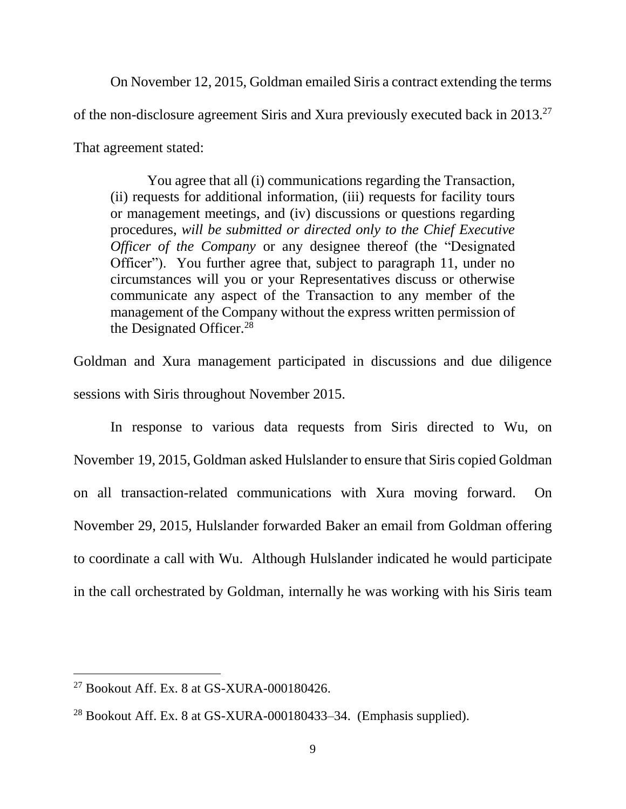On November 12, 2015, Goldman emailed Siris a contract extending the terms of the non-disclosure agreement Siris and Xura previously executed back in 2013.<sup>27</sup> That agreement stated:

You agree that all (i) communications regarding the Transaction, (ii) requests for additional information, (iii) requests for facility tours or management meetings, and (iv) discussions or questions regarding procedures, *will be submitted or directed only to the Chief Executive Officer of the Company* or any designee thereof (the "Designated Officer"). You further agree that, subject to paragraph 11, under no circumstances will you or your Representatives discuss or otherwise communicate any aspect of the Transaction to any member of the management of the Company without the express written permission of the Designated Officer.<sup>28</sup>

Goldman and Xura management participated in discussions and due diligence sessions with Siris throughout November 2015.

In response to various data requests from Siris directed to Wu, on November 19, 2015, Goldman asked Hulslander to ensure that Siris copied Goldman on all transaction-related communications with Xura moving forward. On November 29, 2015, Hulslander forwarded Baker an email from Goldman offering to coordinate a call with Wu. Although Hulslander indicated he would participate in the call orchestrated by Goldman, internally he was working with his Siris team

<sup>27</sup> Bookout Aff. Ex. 8 at GS-XURA-000180426.

 $^{28}$  Bookout Aff. Ex. 8 at GS-XURA-000180433–34. (Emphasis supplied).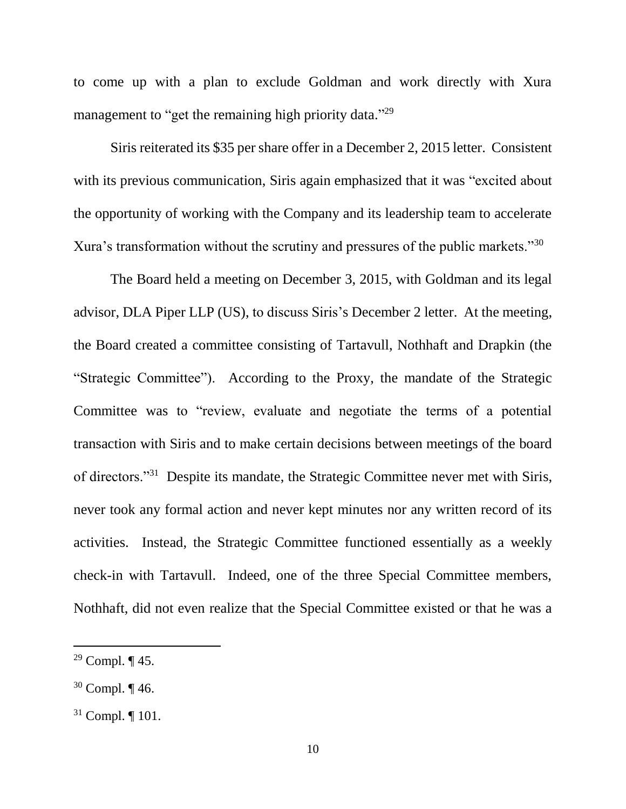to come up with a plan to exclude Goldman and work directly with Xura management to "get the remaining high priority data."<sup>29</sup>

Siris reiterated its \$35 per share offer in a December 2, 2015 letter. Consistent with its previous communication, Siris again emphasized that it was "excited about the opportunity of working with the Company and its leadership team to accelerate Xura's transformation without the scrutiny and pressures of the public markets."<sup>30</sup>

The Board held a meeting on December 3, 2015, with Goldman and its legal advisor, DLA Piper LLP (US), to discuss Siris's December 2 letter. At the meeting, the Board created a committee consisting of Tartavull, Nothhaft and Drapkin (the "Strategic Committee"). According to the Proxy, the mandate of the Strategic Committee was to "review, evaluate and negotiate the terms of a potential transaction with Siris and to make certain decisions between meetings of the board of directors."<sup>31</sup> Despite its mandate, the Strategic Committee never met with Siris, never took any formal action and never kept minutes nor any written record of its activities. Instead, the Strategic Committee functioned essentially as a weekly check-in with Tartavull. Indeed, one of the three Special Committee members, Nothhaft, did not even realize that the Special Committee existed or that he was a

<sup>&</sup>lt;sup>29</sup> Compl.  $\P$  45.

<sup>30</sup> Compl. ¶ 46.

<sup>31</sup> Compl. ¶ 101.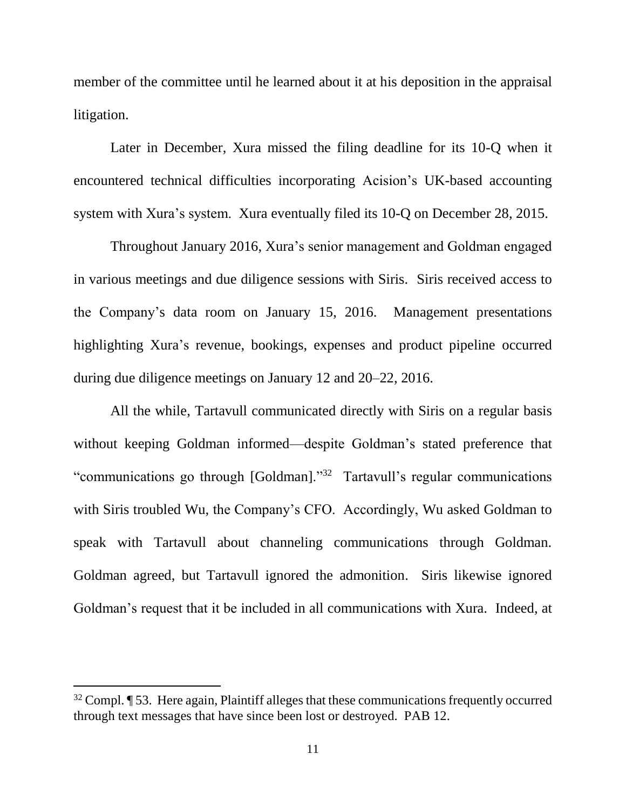member of the committee until he learned about it at his deposition in the appraisal litigation.

Later in December, Xura missed the filing deadline for its 10-Q when it encountered technical difficulties incorporating Acision's UK-based accounting system with Xura's system. Xura eventually filed its 10-Q on December 28, 2015.

Throughout January 2016, Xura's senior management and Goldman engaged in various meetings and due diligence sessions with Siris. Siris received access to the Company's data room on January 15, 2016. Management presentations highlighting Xura's revenue, bookings, expenses and product pipeline occurred during due diligence meetings on January 12 and 20–22, 2016.

All the while, Tartavull communicated directly with Siris on a regular basis without keeping Goldman informed—despite Goldman's stated preference that "communications go through [Goldman]."<sup>32</sup> Tartavull's regular communications with Siris troubled Wu, the Company's CFO. Accordingly, Wu asked Goldman to speak with Tartavull about channeling communications through Goldman. Goldman agreed, but Tartavull ignored the admonition. Siris likewise ignored Goldman's request that it be included in all communications with Xura. Indeed, at

 $32$  Compl.  $\P$  53. Here again, Plaintiff alleges that these communications frequently occurred through text messages that have since been lost or destroyed. PAB 12.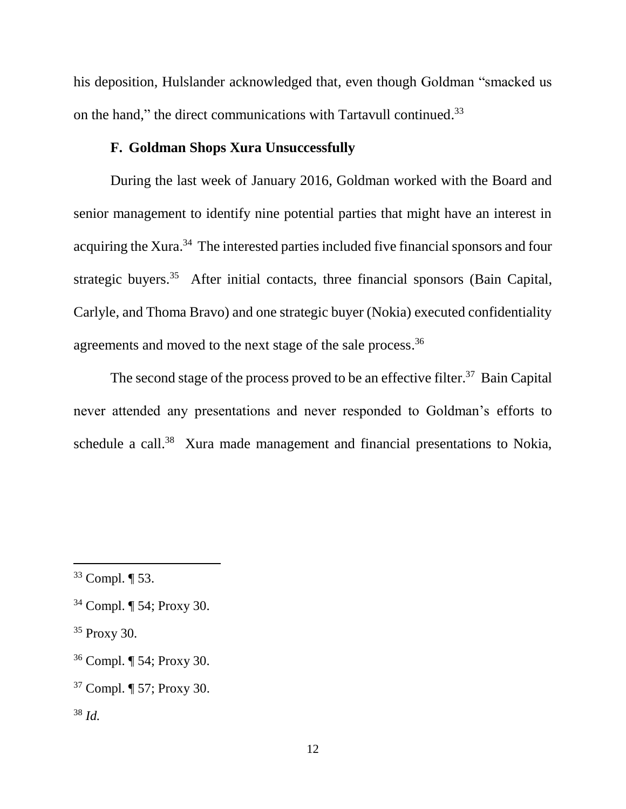his deposition, Hulslander acknowledged that, even though Goldman "smacked us on the hand," the direct communications with Tartavull continued.<sup>33</sup>

### **F. Goldman Shops Xura Unsuccessfully**

During the last week of January 2016, Goldman worked with the Board and senior management to identify nine potential parties that might have an interest in acquiring the Xura.<sup>34</sup> The interested parties included five financial sponsors and four strategic buyers.<sup>35</sup> After initial contacts, three financial sponsors (Bain Capital, Carlyle, and Thoma Bravo) and one strategic buyer (Nokia) executed confidentiality agreements and moved to the next stage of the sale process.<sup>36</sup>

The second stage of the process proved to be an effective filter.<sup>37</sup> Bain Capital never attended any presentations and never responded to Goldman's efforts to schedule a call.<sup>38</sup> Xura made management and financial presentations to Nokia,

<sup>33</sup> Compl. ¶ 53.

<sup>34</sup> Compl. ¶ 54; Proxy 30.

<sup>35</sup> Proxy 30.

<sup>36</sup> Compl. ¶ 54; Proxy 30.

<sup>37</sup> Compl. ¶ 57; Proxy 30.

<sup>38</sup> *Id.*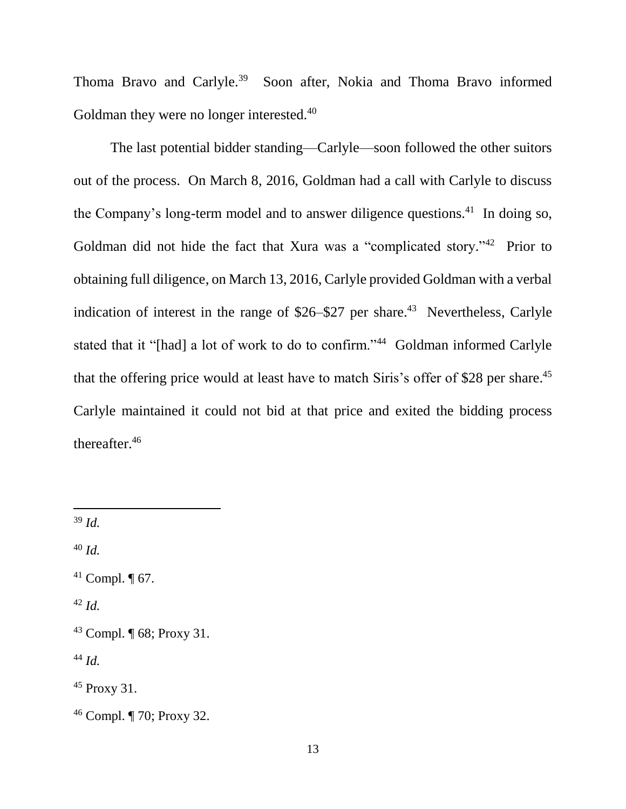Thoma Bravo and Carlyle.<sup>39</sup> Soon after, Nokia and Thoma Bravo informed Goldman they were no longer interested.<sup>40</sup>

The last potential bidder standing—Carlyle—soon followed the other suitors out of the process. On March 8, 2016, Goldman had a call with Carlyle to discuss the Company's long-term model and to answer diligence questions.<sup>41</sup> In doing so, Goldman did not hide the fact that Xura was a "complicated story."<sup>42</sup> Prior to obtaining full diligence, on March 13, 2016, Carlyle provided Goldman with a verbal indication of interest in the range of  $$26–$27$  per share.<sup>43</sup> Nevertheless, Carlyle stated that it "[had] a lot of work to do to confirm."<sup>44</sup> Goldman informed Carlyle that the offering price would at least have to match Siris's offer of \$28 per share.<sup>45</sup> Carlyle maintained it could not bid at that price and exited the bidding process thereafter. 46

<sup>39</sup> *Id.*

 $\overline{a}$ 

<sup>40</sup> *Id.*

<sup>42</sup> *Id.*

<sup>44</sup> *Id.*

<sup>45</sup> Proxy 31.

<sup>&</sup>lt;sup>41</sup> Compl.  $\P$  67.

<sup>43</sup> Compl. ¶ 68; Proxy 31.

<sup>46</sup> Compl. ¶ 70; Proxy 32.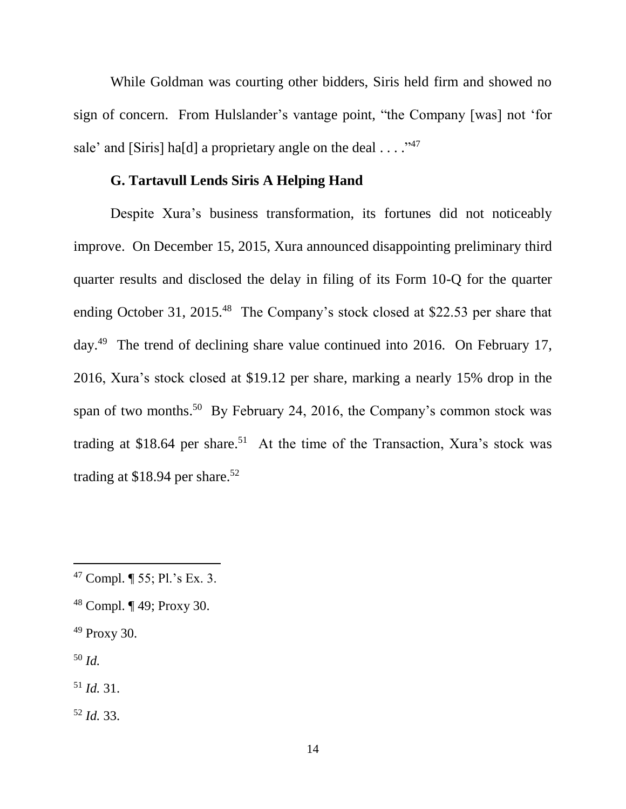While Goldman was courting other bidders, Siris held firm and showed no sign of concern. From Hulslander's vantage point, "the Company [was] not 'for sale' and [Siris] ha[d] a proprietary angle on the deal  $\dots$ ."<sup>47</sup>

### **G. Tartavull Lends Siris A Helping Hand**

Despite Xura's business transformation, its fortunes did not noticeably improve. On December 15, 2015, Xura announced disappointing preliminary third quarter results and disclosed the delay in filing of its Form 10-Q for the quarter ending October 31, 2015.<sup>48</sup> The Company's stock closed at \$22.53 per share that day.<sup>49</sup> The trend of declining share value continued into 2016. On February 17, 2016, Xura's stock closed at \$19.12 per share, marking a nearly 15% drop in the span of two months.<sup>50</sup> By February 24, 2016, the Company's common stock was trading at \$18.64 per share.<sup>51</sup> At the time of the Transaction, Xura's stock was trading at \$18.94 per share.<sup>52</sup>

<sup>49</sup> Proxy 30.

<sup>50</sup> *Id.*

l

<sup>51</sup> *Id.* 31.

<sup>52</sup> *Id.* 33.

<sup>47</sup> Compl. ¶ 55; Pl.'s Ex. 3.

<sup>48</sup> Compl. ¶ 49; Proxy 30.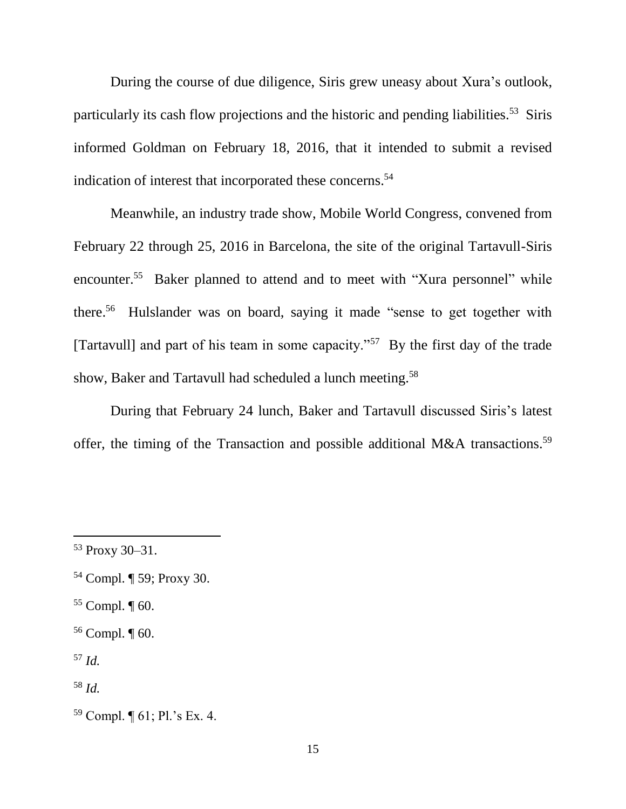During the course of due diligence, Siris grew uneasy about Xura's outlook, particularly its cash flow projections and the historic and pending liabilities.<sup>53</sup> Siris informed Goldman on February 18, 2016, that it intended to submit a revised indication of interest that incorporated these concerns. 54

Meanwhile, an industry trade show, Mobile World Congress, convened from February 22 through 25, 2016 in Barcelona, the site of the original Tartavull-Siris encounter.<sup>55</sup> Baker planned to attend and to meet with "Xura personnel" while there. <sup>56</sup> Hulslander was on board, saying it made "sense to get together with [Tartavull] and part of his team in some capacity."<sup>57</sup> By the first day of the trade show, Baker and Tartavull had scheduled a lunch meeting.<sup>58</sup>

During that February 24 lunch, Baker and Tartavull discussed Siris's latest offer, the timing of the Transaction and possible additional M&A transactions.<sup>59</sup>

- $55$  Compl.  $\P$  60.
- <sup>56</sup> Compl. ¶ 60.

<sup>57</sup> *Id.*

<sup>53</sup> Proxy 30–31.

<sup>54</sup> Compl. ¶ 59; Proxy 30.

<sup>58</sup> *Id.*

<sup>59</sup> Compl. ¶ 61; Pl.'s Ex. 4.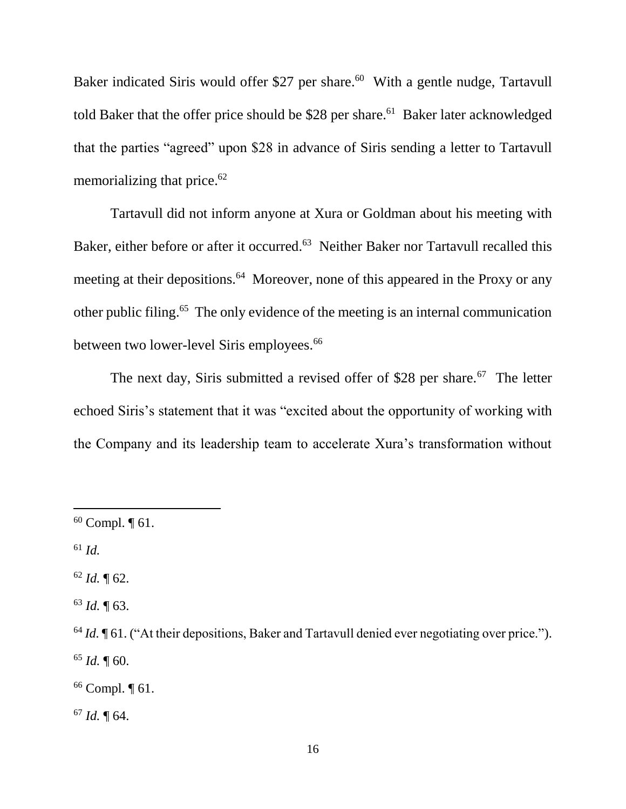Baker indicated Siris would offer \$27 per share.<sup>60</sup> With a gentle nudge, Tartavull told Baker that the offer price should be \$28 per share.<sup>61</sup> Baker later acknowledged that the parties "agreed" upon \$28 in advance of Siris sending a letter to Tartavull memorializing that price.<sup>62</sup>

Tartavull did not inform anyone at Xura or Goldman about his meeting with Baker, either before or after it occurred.<sup>63</sup> Neither Baker nor Tartavull recalled this meeting at their depositions.<sup>64</sup> Moreover, none of this appeared in the Proxy or any other public filing.<sup>65</sup> The only evidence of the meeting is an internal communication between two lower-level Siris employees.<sup>66</sup>

The next day, Siris submitted a revised offer of \$28 per share.<sup>67</sup> The letter echoed Siris's statement that it was "excited about the opportunity of working with the Company and its leadership team to accelerate Xura's transformation without

 $\overline{a}$ 

 $62$  *Id.*  $\P$  62.

<sup>63</sup> *Id.* ¶ 63.

<sup>66</sup> Compl. ¶ 61.

<sup>67</sup> *Id.* ¶ 64.

 $60$  Compl.  $\P$  61.

<sup>61</sup> *Id.*

<sup>&</sup>lt;sup>64</sup> *Id.*  $\P$  61. ("At their depositions, Baker and Tartavull denied ever negotiating over price.").  $65$  *Id.*  $\P$  60.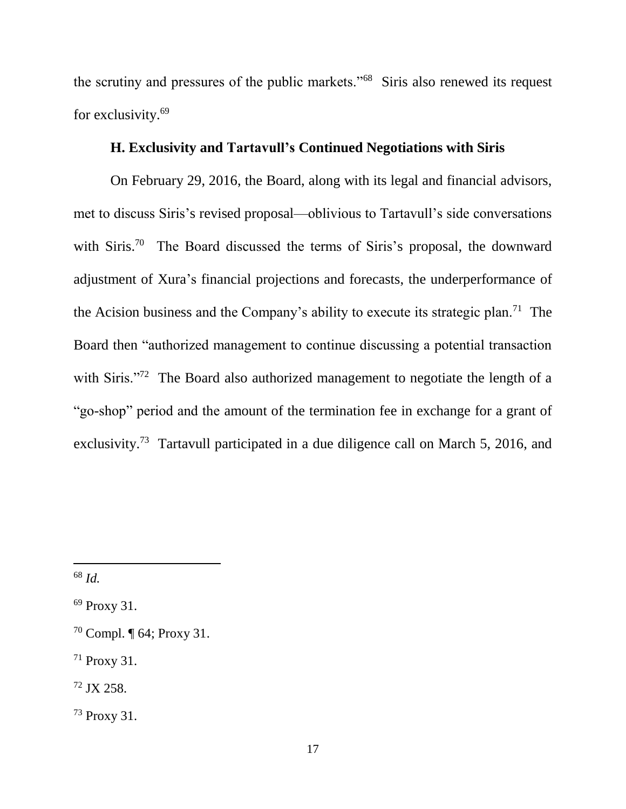the scrutiny and pressures of the public markets."<sup>68</sup> Siris also renewed its request for exclusivity.<sup>69</sup>

# **H. Exclusivity and Tartavull's Continued Negotiations with Siris**

On February 29, 2016, the Board, along with its legal and financial advisors, met to discuss Siris's revised proposal—oblivious to Tartavull's side conversations with Siris.<sup>70</sup> The Board discussed the terms of Siris's proposal, the downward adjustment of Xura's financial projections and forecasts, the underperformance of the Acision business and the Company's ability to execute its strategic plan.<sup>71</sup> The Board then "authorized management to continue discussing a potential transaction with Siris."<sup>72</sup> The Board also authorized management to negotiate the length of a "go-shop" period and the amount of the termination fee in exchange for a grant of exclusivity.<sup>73</sup> Tartavull participated in a due diligence call on March 5, 2016, and

<sup>68</sup> *Id.*

<sup>69</sup> Proxy 31.

<sup>70</sup> Compl. ¶ 64; Proxy 31.

<sup>71</sup> Proxy 31.

<sup>72</sup> JX 258.

<sup>73</sup> Proxy 31.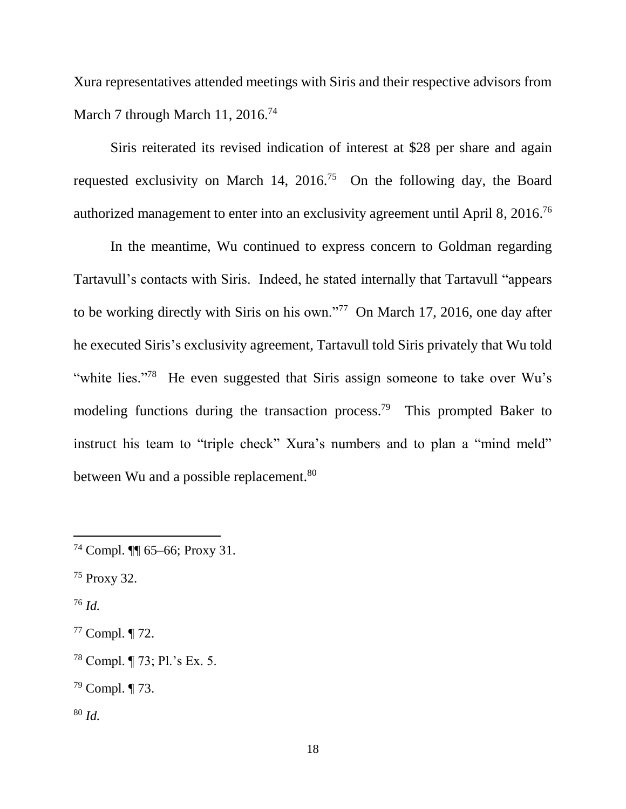Xura representatives attended meetings with Siris and their respective advisors from March 7 through March 11, 2016.<sup>74</sup>

Siris reiterated its revised indication of interest at \$28 per share and again requested exclusivity on March 14,  $2016^{75}$  On the following day, the Board authorized management to enter into an exclusivity agreement until April 8, 2016.<sup>76</sup>

In the meantime, Wu continued to express concern to Goldman regarding Tartavull's contacts with Siris. Indeed, he stated internally that Tartavull "appears to be working directly with Siris on his own."<sup>77</sup> On March 17, 2016, one day after he executed Siris's exclusivity agreement, Tartavull told Siris privately that Wu told "white lies."<sup>78</sup> He even suggested that Siris assign someone to take over Wu's modeling functions during the transaction process.<sup>79</sup> This prompted Baker to instruct his team to "triple check" Xura's numbers and to plan a "mind meld" between Wu and a possible replacement.<sup>80</sup>

<sup>76</sup> *Id.*

 $\overline{a}$ 

<sup>77</sup> Compl. ¶ 72.

<sup>78</sup> Compl. ¶ 73; Pl.'s Ex. 5.

<sup>79</sup> Compl. ¶ 73.

<sup>80</sup> *Id.*

 $74$  Compl.  $\P\P$  65–66; Proxy 31.

<sup>75</sup> Proxy 32.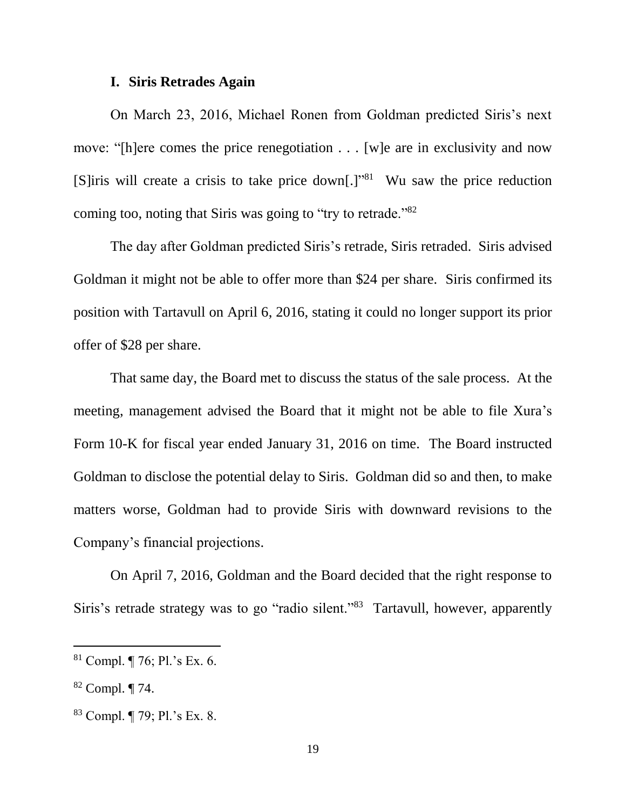#### **I. Siris Retrades Again**

On March 23, 2016, Michael Ronen from Goldman predicted Siris's next move: "[h]ere comes the price renegotiation . . . [w]e are in exclusivity and now [S]iris will create a crisis to take price down[.]<sup>"81</sup> Wu saw the price reduction coming too, noting that Siris was going to "try to retrade."<sup>82</sup>

The day after Goldman predicted Siris's retrade, Siris retraded. Siris advised Goldman it might not be able to offer more than \$24 per share. Siris confirmed its position with Tartavull on April 6, 2016, stating it could no longer support its prior offer of \$28 per share.

That same day, the Board met to discuss the status of the sale process. At the meeting, management advised the Board that it might not be able to file Xura's Form 10-K for fiscal year ended January 31, 2016 on time. The Board instructed Goldman to disclose the potential delay to Siris. Goldman did so and then, to make matters worse, Goldman had to provide Siris with downward revisions to the Company's financial projections.

On April 7, 2016, Goldman and the Board decided that the right response to Siris's retrade strategy was to go "radio silent."<sup>83</sup> Tartavull, however, apparently

<sup>81</sup> Compl. ¶ 76; Pl.'s Ex. 6.

<sup>82</sup> Compl. ¶ 74.

<sup>83</sup> Compl. ¶ 79; Pl.'s Ex. 8.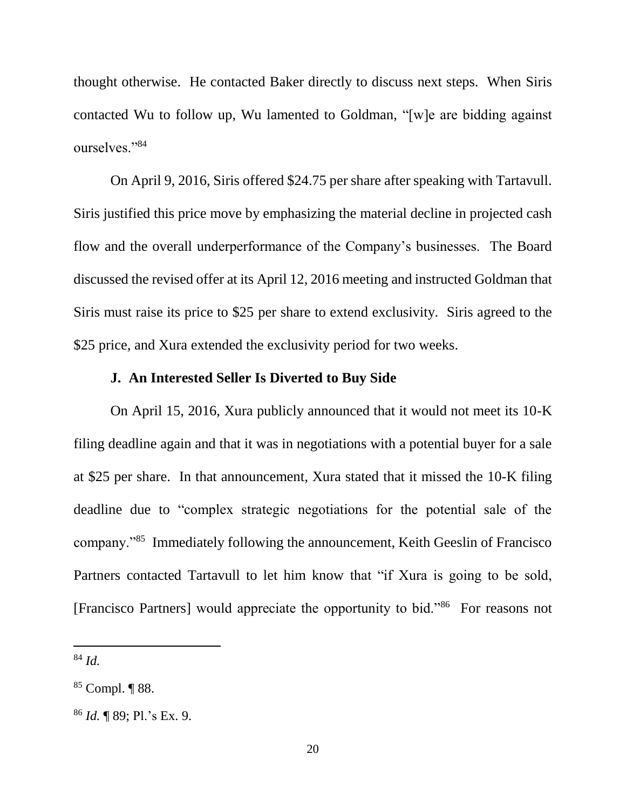thought otherwise. He contacted Baker directly to discuss next steps. When Siris contacted Wu to follow up, Wu lamented to Goldman, "[w]e are bidding against ourselves."<sup>84</sup>

On April 9, 2016, Siris offered \$24.75 per share after speaking with Tartavull. Siris justified this price move by emphasizing the material decline in projected cash flow and the overall underperformance of the Company's businesses. The Board discussed the revised offer at its April 12, 2016 meeting and instructed Goldman that Siris must raise its price to \$25 per share to extend exclusivity. Siris agreed to the \$25 price, and Xura extended the exclusivity period for two weeks.

### **J. An Interested Seller Is Diverted to Buy Side**

On April 15, 2016, Xura publicly announced that it would not meet its 10-K filing deadline again and that it was in negotiations with a potential buyer for a sale at \$25 per share. In that announcement, Xura stated that it missed the 10-K filing deadline due to "complex strategic negotiations for the potential sale of the company."<sup>85</sup> Immediately following the announcement, Keith Geeslin of Francisco Partners contacted Tartavull to let him know that "if Xura is going to be sold, [Francisco Partners] would appreciate the opportunity to bid."<sup>86</sup> For reasons not

<sup>84</sup> *Id.*

<sup>85</sup> Compl. ¶ 88.

<sup>86</sup> *Id.* ¶ 89; Pl.'s Ex. 9.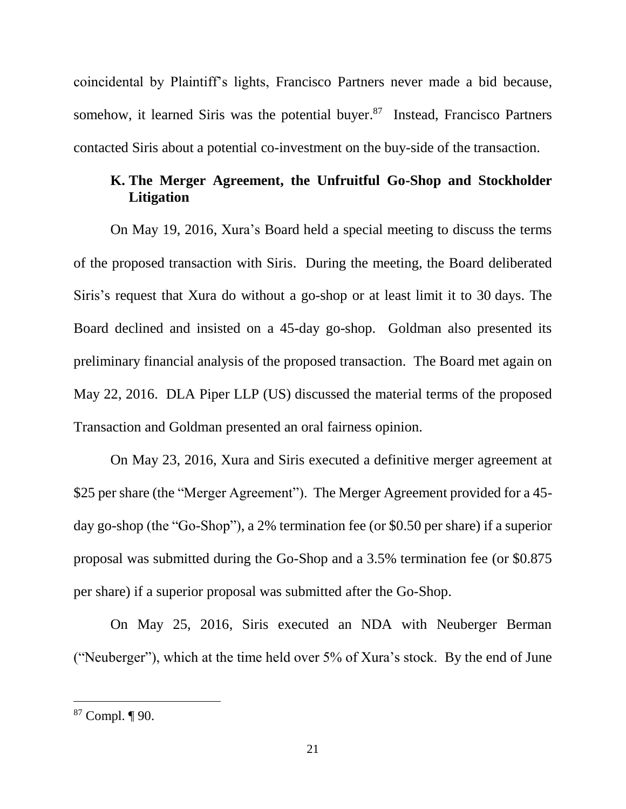coincidental by Plaintiff's lights, Francisco Partners never made a bid because, somehow, it learned Siris was the potential buyer.<sup>87</sup> Instead, Francisco Partners contacted Siris about a potential co-investment on the buy-side of the transaction.

# **K. The Merger Agreement, the Unfruitful Go-Shop and Stockholder Litigation**

On May 19, 2016, Xura's Board held a special meeting to discuss the terms of the proposed transaction with Siris. During the meeting, the Board deliberated Siris's request that Xura do without a go-shop or at least limit it to 30 days. The Board declined and insisted on a 45-day go-shop. Goldman also presented its preliminary financial analysis of the proposed transaction. The Board met again on May 22, 2016. DLA Piper LLP (US) discussed the material terms of the proposed Transaction and Goldman presented an oral fairness opinion.

On May 23, 2016, Xura and Siris executed a definitive merger agreement at \$25 per share (the "Merger Agreement"). The Merger Agreement provided for a 45 day go-shop (the "Go-Shop"), a 2% termination fee (or \$0.50 per share) if a superior proposal was submitted during the Go-Shop and a 3.5% termination fee (or \$0.875 per share) if a superior proposal was submitted after the Go-Shop.

On May 25, 2016, Siris executed an NDA with Neuberger Berman ("Neuberger"), which at the time held over 5% of Xura's stock. By the end of June

<sup>87</sup> Compl. ¶ 90.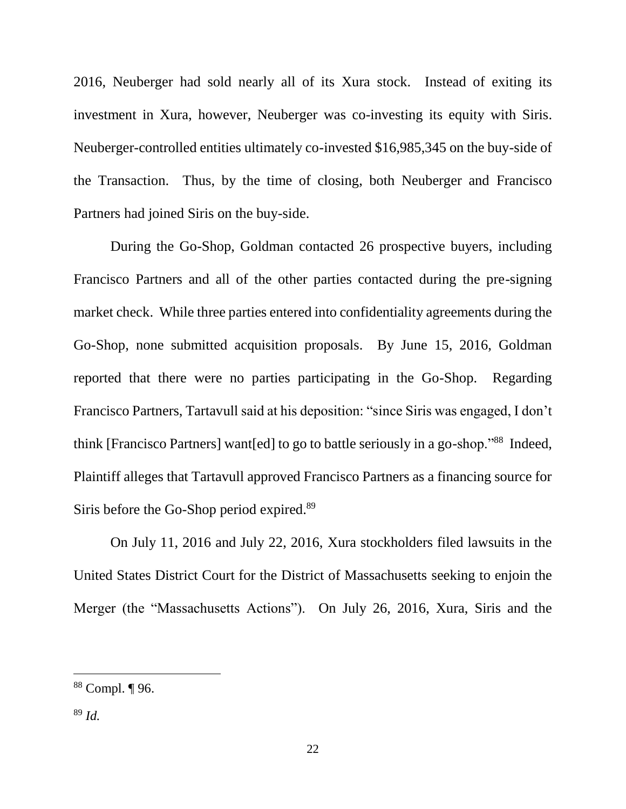2016, Neuberger had sold nearly all of its Xura stock. Instead of exiting its investment in Xura, however, Neuberger was co-investing its equity with Siris. Neuberger-controlled entities ultimately co-invested \$16,985,345 on the buy-side of the Transaction. Thus, by the time of closing, both Neuberger and Francisco Partners had joined Siris on the buy-side.

During the Go-Shop, Goldman contacted 26 prospective buyers, including Francisco Partners and all of the other parties contacted during the pre-signing market check. While three parties entered into confidentiality agreements during the Go-Shop, none submitted acquisition proposals. By June 15, 2016, Goldman reported that there were no parties participating in the Go-Shop. Regarding Francisco Partners, Tartavull said at his deposition: "since Siris was engaged, I don't think [Francisco Partners] want[ed] to go to battle seriously in a go-shop."<sup>88</sup> Indeed, Plaintiff alleges that Tartavull approved Francisco Partners as a financing source for Siris before the Go-Shop period expired.<sup>89</sup>

On July 11, 2016 and July 22, 2016, Xura stockholders filed lawsuits in the United States District Court for the District of Massachusetts seeking to enjoin the Merger (the "Massachusetts Actions"). On July 26, 2016, Xura, Siris and the

<sup>88</sup> Compl. ¶ 96.

<sup>89</sup> *Id.*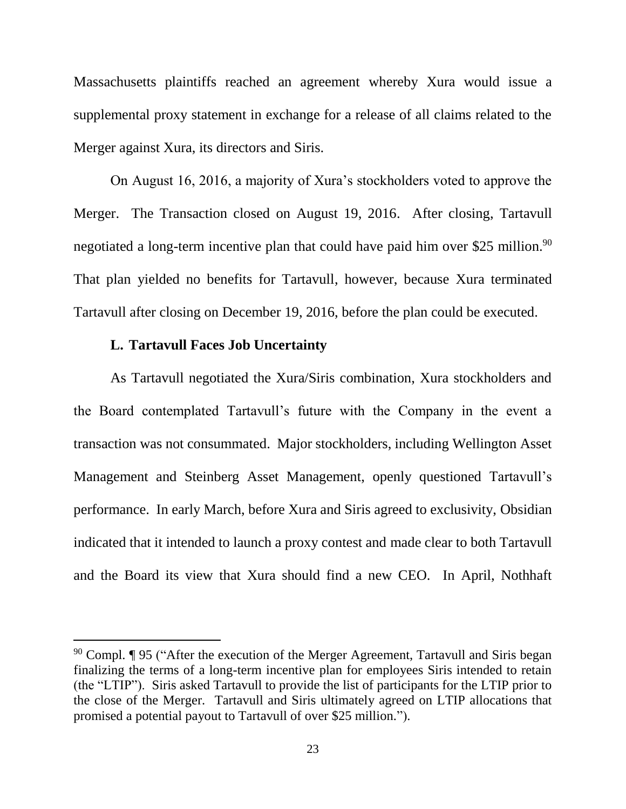Massachusetts plaintiffs reached an agreement whereby Xura would issue a supplemental proxy statement in exchange for a release of all claims related to the Merger against Xura, its directors and Siris.

On August 16, 2016, a majority of Xura's stockholders voted to approve the Merger. The Transaction closed on August 19, 2016. After closing, Tartavull negotiated a long-term incentive plan that could have paid him over \$25 million.<sup>90</sup> That plan yielded no benefits for Tartavull, however, because Xura terminated Tartavull after closing on December 19, 2016, before the plan could be executed.

#### **L. Tartavull Faces Job Uncertainty**

l

As Tartavull negotiated the Xura/Siris combination, Xura stockholders and the Board contemplated Tartavull's future with the Company in the event a transaction was not consummated. Major stockholders, including Wellington Asset Management and Steinberg Asset Management, openly questioned Tartavull's performance. In early March, before Xura and Siris agreed to exclusivity, Obsidian indicated that it intended to launch a proxy contest and made clear to both Tartavull and the Board its view that Xura should find a new CEO. In April, Nothhaft

<sup>90</sup> Compl. ¶ 95 ("After the execution of the Merger Agreement, Tartavull and Siris began finalizing the terms of a long-term incentive plan for employees Siris intended to retain (the "LTIP"). Siris asked Tartavull to provide the list of participants for the LTIP prior to the close of the Merger. Tartavull and Siris ultimately agreed on LTIP allocations that promised a potential payout to Tartavull of over \$25 million.").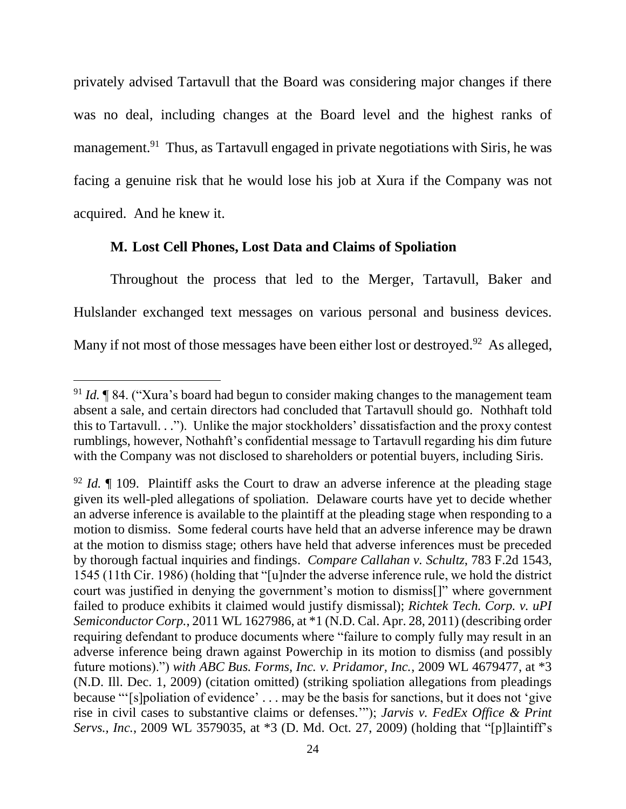privately advised Tartavull that the Board was considering major changes if there was no deal, including changes at the Board level and the highest ranks of management.<sup>91</sup> Thus, as Tartavull engaged in private negotiations with Siris, he was facing a genuine risk that he would lose his job at Xura if the Company was not acquired. And he knew it.

#### **M. Lost Cell Phones, Lost Data and Claims of Spoliation**

l

Throughout the process that led to the Merger, Tartavull, Baker and Hulslander exchanged text messages on various personal and business devices. Many if not most of those messages have been either lost or destroyed.<sup>92</sup> As alleged,

<sup>91</sup> *Id.* ¶ 84. ("Xura's board had begun to consider making changes to the management team absent a sale, and certain directors had concluded that Tartavull should go. Nothhaft told this to Tartavull. . ."). Unlike the major stockholders' dissatisfaction and the proxy contest rumblings, however, Nothahft's confidential message to Tartavull regarding his dim future with the Company was not disclosed to shareholders or potential buyers, including Siris.

<sup>92</sup> *Id.* ¶ 109. Plaintiff asks the Court to draw an adverse inference at the pleading stage given its well-pled allegations of spoliation. Delaware courts have yet to decide whether an adverse inference is available to the plaintiff at the pleading stage when responding to a motion to dismiss. Some federal courts have held that an adverse inference may be drawn at the motion to dismiss stage; others have held that adverse inferences must be preceded by thorough factual inquiries and findings. *Compare Callahan v. Schultz*, 783 F.2d 1543, 1545 (11th Cir. 1986) (holding that "[u]nder the adverse inference rule, we hold the district court was justified in denying the government's motion to dismiss[]" where government failed to produce exhibits it claimed would justify dismissal); *Richtek Tech. Corp. v. uPI Semiconductor Corp.*, 2011 WL 1627986, at \*1 (N.D. Cal. Apr. 28, 2011) (describing order requiring defendant to produce documents where "failure to comply fully may result in an adverse inference being drawn against Powerchip in its motion to dismiss (and possibly future motions).") *with ABC Bus. Forms, Inc. v. Pridamor, Inc.*, 2009 WL 4679477, at \*3 (N.D. Ill. Dec. 1, 2009) (citation omitted) (striking spoliation allegations from pleadings because "'[s]poliation of evidence' . . . may be the basis for sanctions, but it does not 'give rise in civil cases to substantive claims or defenses.'"); *Jarvis v. FedEx Office & Print Servs., Inc.*, 2009 WL 3579035, at \*3 (D. Md. Oct. 27, 2009) (holding that "[p]laintiff's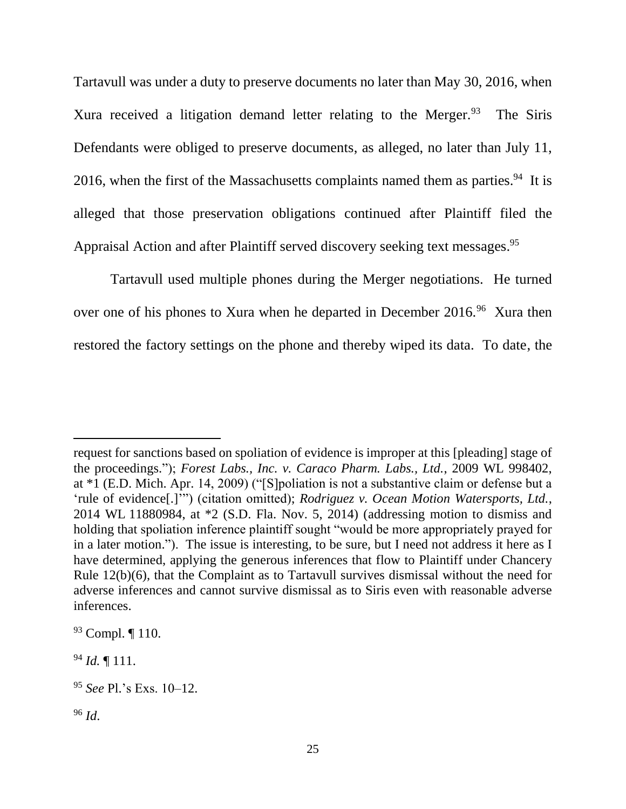Tartavull was under a duty to preserve documents no later than May 30, 2016, when Xura received a litigation demand letter relating to the Merger.<sup>93</sup> The Siris Defendants were obliged to preserve documents, as alleged, no later than July 11, 2016, when the first of the Massachusetts complaints named them as parties.<sup>94</sup> It is alleged that those preservation obligations continued after Plaintiff filed the Appraisal Action and after Plaintiff served discovery seeking text messages.<sup>95</sup>

Tartavull used multiple phones during the Merger negotiations. He turned over one of his phones to Xura when he departed in December 2016.<sup>96</sup> Xura then restored the factory settings on the phone and thereby wiped its data. To date, the

request for sanctions based on spoliation of evidence is improper at this [pleading] stage of the proceedings."); *Forest Labs., Inc. v. Caraco Pharm. Labs., Ltd.*, 2009 WL 998402, at \*1 (E.D. Mich. Apr. 14, 2009) ("[S]poliation is not a substantive claim or defense but a 'rule of evidence[.]'") (citation omitted); *Rodriguez v. Ocean Motion Watersports, Ltd.*, 2014 WL 11880984, at \*2 (S.D. Fla. Nov. 5, 2014) (addressing motion to dismiss and holding that spoliation inference plaintiff sought "would be more appropriately prayed for in a later motion."). The issue is interesting, to be sure, but I need not address it here as I have determined, applying the generous inferences that flow to Plaintiff under Chancery Rule 12(b)(6), that the Complaint as to Tartavull survives dismissal without the need for adverse inferences and cannot survive dismissal as to Siris even with reasonable adverse inferences.

<sup>93</sup> Compl. ¶ 110.

<sup>94</sup> *Id.* ¶ 111.

<sup>95</sup> *See* Pl.'s Exs. 10–12.

<sup>96</sup> *Id*.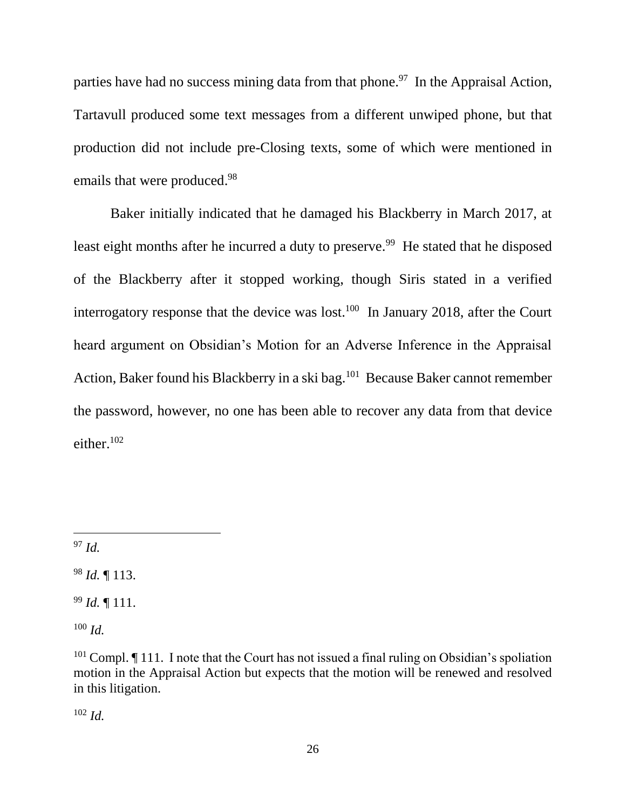parties have had no success mining data from that phone.<sup>97</sup> In the Appraisal Action, Tartavull produced some text messages from a different unwiped phone, but that production did not include pre-Closing texts, some of which were mentioned in emails that were produced.<sup>98</sup>

Baker initially indicated that he damaged his Blackberry in March 2017, at least eight months after he incurred a duty to preserve.<sup>99</sup> He stated that he disposed of the Blackberry after it stopped working, though Siris stated in a verified interrogatory response that the device was lost.<sup>100</sup> In January 2018, after the Court heard argument on Obsidian's Motion for an Adverse Inference in the Appraisal Action, Baker found his Blackberry in a ski bag.<sup>101</sup> Because Baker cannot remember the password, however, no one has been able to recover any data from that device either. 102

<sup>97</sup> *Id.*

 $\overline{a}$ 

<sup>98</sup> *Id.* ¶ 113.

<sup>99</sup> *Id.* ¶ 111.

<sup>100</sup> *Id.*

<sup>102</sup> *Id.*

 $101$  Compl.  $\P$  111. I note that the Court has not issued a final ruling on Obsidian's spoliation motion in the Appraisal Action but expects that the motion will be renewed and resolved in this litigation.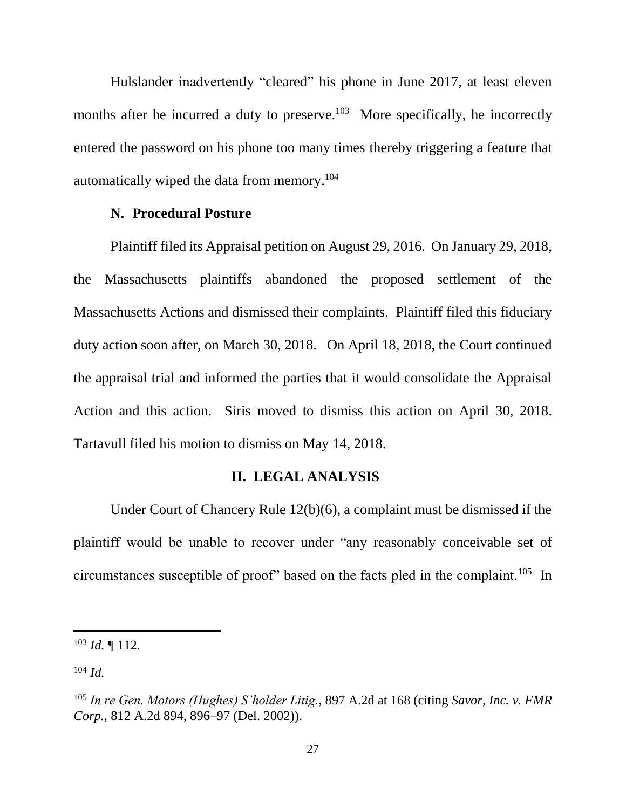Hulslander inadvertently "cleared" his phone in June 2017, at least eleven months after he incurred a duty to preserve.<sup>103</sup> More specifically, he incorrectly entered the password on his phone too many times thereby triggering a feature that automatically wiped the data from memory.<sup>104</sup>

#### **N. Procedural Posture**

Plaintiff filed its Appraisal petition on August 29, 2016. On January 29, 2018, the Massachusetts plaintiffs abandoned the proposed settlement of the Massachusetts Actions and dismissed their complaints. Plaintiff filed this fiduciary duty action soon after, on March 30, 2018. On April 18, 2018, the Court continued the appraisal trial and informed the parties that it would consolidate the Appraisal Action and this action. Siris moved to dismiss this action on April 30, 2018. Tartavull filed his motion to dismiss on May 14, 2018.

#### **II. LEGAL ANALYSIS**

Under Court of Chancery Rule 12(b)(6), a complaint must be dismissed if the plaintiff would be unable to recover under "any reasonably conceivable set of circumstances susceptible of proof" based on the facts pled in the complaint.<sup>105</sup> In

<sup>103</sup> *Id.* ¶ 112.

<sup>104</sup> *Id.*

<sup>105</sup> *In re Gen. Motors (Hughes) S'holder Litig.*, 897 A.2d at 168 (citing *[Savor, Inc. v. FMR](https://1.next.westlaw.com/Link/Document/FullText?findType=Y&serNum=2002789824&pubNum=0000162&originatingDoc=Ia10fb782ba7611dab6b19d807577f4c3&refType=RP&fi=co_pp_sp_162_896&originationContext=document&transitionType=DocumentItem&contextData=(sc.UserEnteredCitation)#co_pp_sp_162_896)  Corp.*, [812 A.2d 894, 896–97 \(Del. 2002\)\)](https://1.next.westlaw.com/Link/Document/FullText?findType=Y&serNum=2002789824&pubNum=0000162&originatingDoc=Ia10fb782ba7611dab6b19d807577f4c3&refType=RP&fi=co_pp_sp_162_896&originationContext=document&transitionType=DocumentItem&contextData=(sc.UserEnteredCitation)#co_pp_sp_162_896).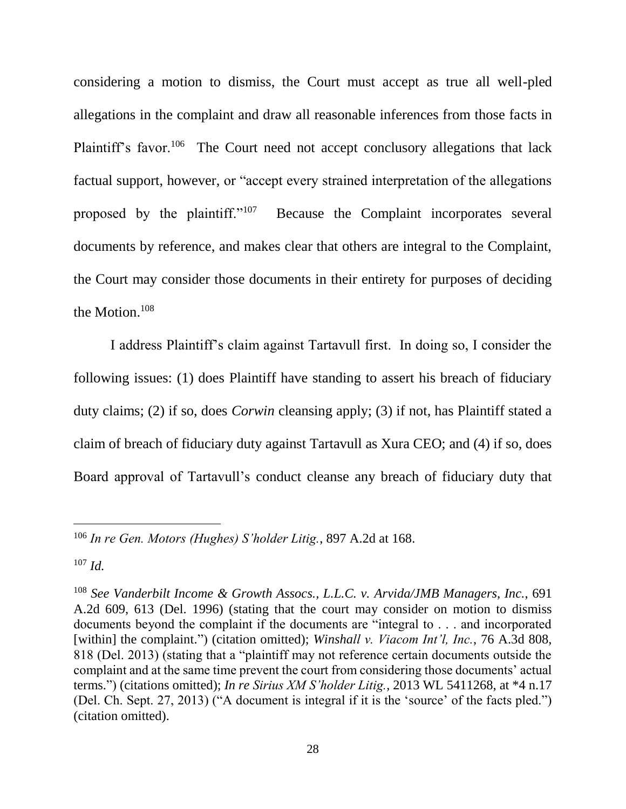considering a motion to dismiss, the Court must accept as true all well-pled allegations in the complaint and draw all reasonable inferences from those facts in Plaintiff's favor.<sup>106</sup> The Court need not accept conclusory allegations that lack factual support, however, or "accept every strained interpretation of the allegations proposed by the plaintiff."<sup>107</sup> Because the Complaint incorporates several documents by reference, and makes clear that others are integral to the Complaint, the Court may consider those documents in their entirety for purposes of deciding the Motion.<sup>108</sup>

I address Plaintiff's claim against Tartavull first. In doing so, I consider the following issues: (1) does Plaintiff have standing to assert his breach of fiduciary duty claims; (2) if so, does *Corwin* cleansing apply; (3) if not, has Plaintiff stated a claim of breach of fiduciary duty against Tartavull as Xura CEO; and (4) if so, does Board approval of Tartavull's conduct cleanse any breach of fiduciary duty that

<sup>106</sup> *In re Gen. Motors (Hughes) S'holder Litig.*, 897 A.2d at 168.

<sup>107</sup> *Id.*

<sup>108</sup> *See Vanderbilt Income & Growth Assocs., L.L.C. v. Arvida/JMB Managers, Inc.*, 691 A.2d 609, 613 (Del. 1996) (stating that the court may consider on motion to dismiss documents beyond the complaint if the documents are "integral to . . . and incorporated [within] the complaint.") (citation omitted); *Winshall v. Viacom Int'l, Inc.*, 76 A.3d 808, 818 (Del. 2013) (stating that a "plaintiff may not reference certain documents outside the complaint and at the same time prevent the court from considering those documents' actual terms.") (citations omitted); *In re Sirius XM S'holder Litig.*, 2013 WL 5411268, at \*4 n.17 (Del. Ch. Sept. 27, 2013) ("A document is integral if it is the 'source' of the facts pled.") (citation omitted).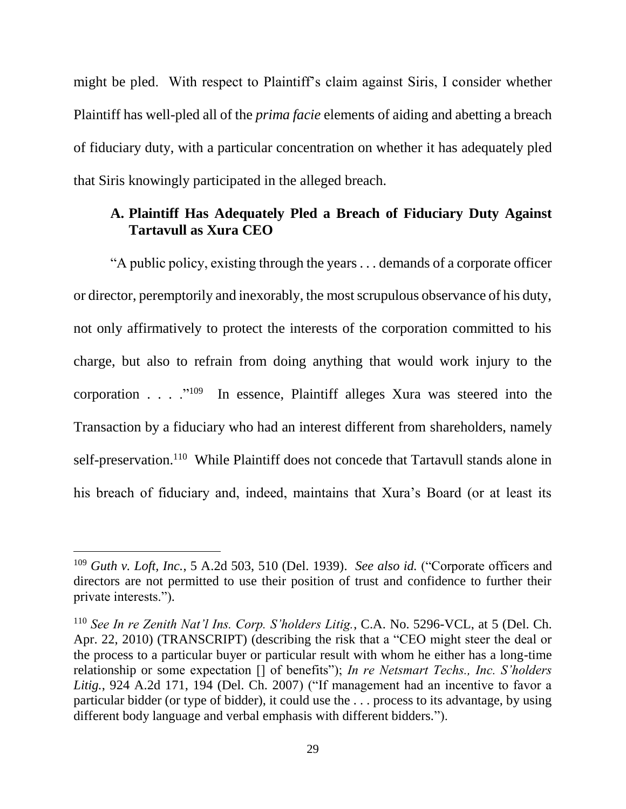might be pled. With respect to Plaintiff's claim against Siris, I consider whether Plaintiff has well-pled all of the *prima facie* elements of aiding and abetting a breach of fiduciary duty, with a particular concentration on whether it has adequately pled that Siris knowingly participated in the alleged breach.

## **A. Plaintiff Has Adequately Pled a Breach of Fiduciary Duty Against Tartavull as Xura CEO**

"A public policy, existing through the years . . . demands of a corporate officer or director, peremptorily and inexorably, the most scrupulous observance of his duty, not only affirmatively to protect the interests of the corporation committed to his charge, but also to refrain from doing anything that would work injury to the corporation . . . .  $\cdot$   $\cdot$   $\cdot$  In essence, Plaintiff alleges Xura was steered into the Transaction by a fiduciary who had an interest different from shareholders, namely self-preservation.<sup>110</sup> While Plaintiff does not concede that Tartavull stands alone in his breach of fiduciary and, indeed, maintains that Xura's Board (or at least its

<sup>109</sup> *Guth v. Loft, Inc.*, 5 A.2d 503, 510 (Del. 1939). *See also id.* ("Corporate officers and directors are not permitted to use their position of trust and confidence to further their private interests.").

<sup>110</sup> *See In re Zenith Nat'l Ins. Corp. S'holders Litig.*, C.A. No. 5296-VCL, at 5 (Del. Ch. Apr. 22, 2010) (TRANSCRIPT) (describing the risk that a "CEO might steer the deal or the process to a particular buyer or particular result with whom he either has a long-time relationship or some expectation [] of benefits"); *In re Netsmart Techs., Inc. S'holders Litig.*, 924 A.2d 171, 194 (Del. Ch. 2007) ("If management had an incentive to favor a particular bidder (or type of bidder), it could use the . . . process to its advantage, by using different body language and verbal emphasis with different bidders.").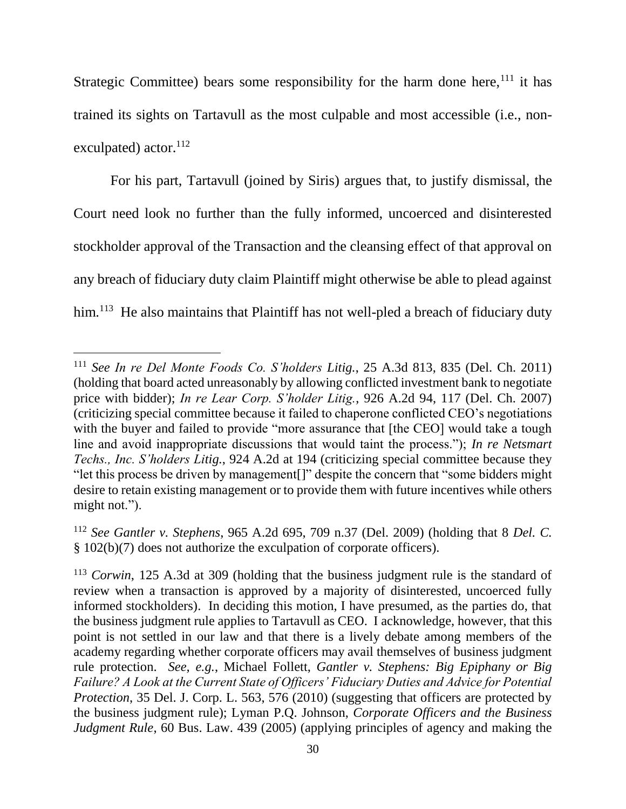Strategic Committee) bears some responsibility for the harm done here,  $111$  it has trained its sights on Tartavull as the most culpable and most accessible (i.e., nonexculpated) actor.<sup>112</sup>

For his part, Tartavull (joined by Siris) argues that, to justify dismissal, the Court need look no further than the fully informed, uncoerced and disinterested stockholder approval of the Transaction and the cleansing effect of that approval on any breach of fiduciary duty claim Plaintiff might otherwise be able to plead against him.<sup>113</sup> He also maintains that Plaintiff has not well-pled a breach of fiduciary duty

<sup>111</sup> *See In re Del Monte Foods Co. S'holders Litig.*, 25 A.3d 813, 835 (Del. Ch. 2011) (holding that board acted unreasonably by allowing conflicted investment bank to negotiate price with bidder); *In re Lear Corp. S'holder Litig.*, 926 A.2d 94, 117 (Del. Ch. 2007) (criticizing special committee because it failed to chaperone conflicted CEO's negotiations with the buyer and failed to provide "more assurance that [the CEO] would take a tough line and avoid inappropriate discussions that would taint the process."); *In re Netsmart Techs., Inc. S'holders Litig.*, 924 A.2d at 194 (criticizing special committee because they "let this process be driven by management[]" despite the concern that "some bidders might desire to retain existing management or to provide them with future incentives while others might not.").

<sup>112</sup> *See Gantler v. Stephens*, 965 A.2d 695, 709 n.37 (Del. 2009) (holding that 8 *Del. C.*  § 102(b)(7) does not authorize the exculpation of corporate officers).

<sup>113</sup> *Corwin*, 125 A.3d at 309 (holding that the business judgment rule is the standard of review when a transaction is approved by a majority of disinterested, uncoerced fully informed stockholders). In deciding this motion, I have presumed, as the parties do, that the business judgment rule applies to Tartavull as CEO. I acknowledge, however, that this point is not settled in our law and that there is a lively debate among members of the academy regarding whether corporate officers may avail themselves of business judgment rule protection. *See, e.g.*, Michael Follett, *Gantler v. Stephens: Big Epiphany or Big Failure? A Look at the Current State of Officers' Fiduciary Duties and Advice for Potential Protection*, 35 Del. J. Corp. L. 563, 576 (2010) (suggesting that officers are protected by the business judgment rule); Lyman P.Q. Johnson, *Corporate Officers and the Business Judgment Rule*, 60 Bus. Law. 439 (2005) (applying principles of agency and making the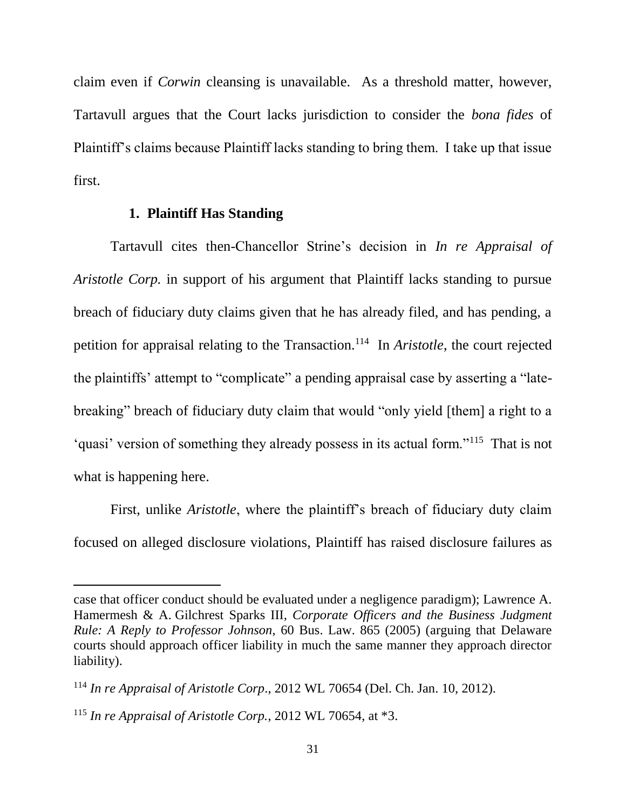claim even if *Corwin* cleansing is unavailable. As a threshold matter, however, Tartavull argues that the Court lacks jurisdiction to consider the *bona fides* of Plaintiff's claims because Plaintiff lacks standing to bring them. I take up that issue first.

#### **1. Plaintiff Has Standing**

Tartavull cites then-Chancellor Strine's decision in *In re Appraisal of Aristotle Corp.* in support of his argument that Plaintiff lacks standing to pursue breach of fiduciary duty claims given that he has already filed, and has pending, a petition for appraisal relating to the Transaction.<sup>114</sup> In *Aristotle*, the court rejected the plaintiffs' attempt to "complicate" a pending appraisal case by asserting a "latebreaking" breach of fiduciary duty claim that would "only yield [them] a right to a 'quasi' version of something they already possess in its actual form."<sup>115</sup> That is not what is happening here.

First, unlike *Aristotle*, where the plaintiff's breach of fiduciary duty claim focused on alleged disclosure violations, Plaintiff has raised disclosure failures as

case that officer conduct should be evaluated under a negligence paradigm); Lawrence A. Hamermesh & A. Gilchrest Sparks III, *Corporate Officers and the Business Judgment Rule: A Reply to Professor Johnson*, 60 Bus. Law. 865 (2005) (arguing that Delaware courts should approach officer liability in much the same manner they approach director liability).

<sup>114</sup> *In re Appraisal of Aristotle Corp*., 2012 WL 70654 (Del. Ch. Jan. 10, 2012).

<sup>115</sup> *In re Appraisal of Aristotle Corp.*, 2012 WL 70654, at \*3.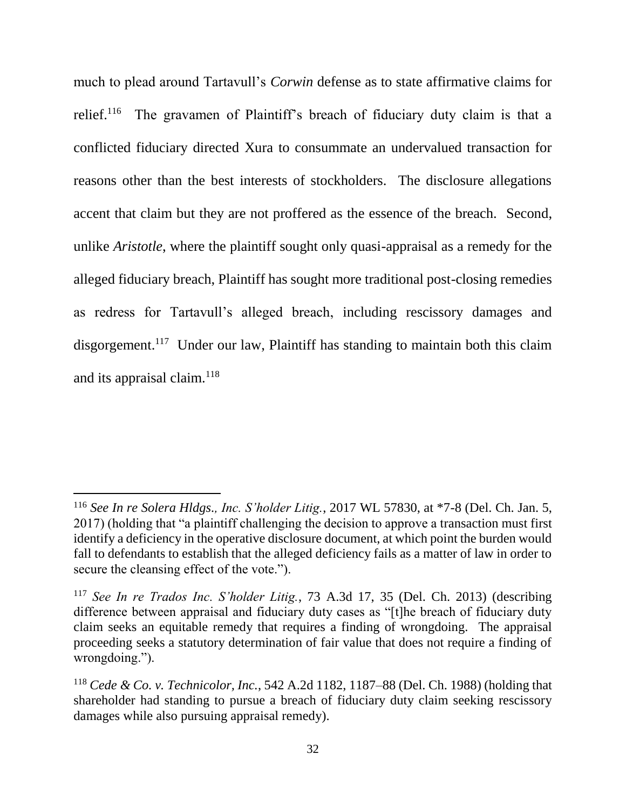much to plead around Tartavull's *Corwin* defense as to state affirmative claims for relief.<sup>116</sup> The gravamen of Plaintiff's breach of fiduciary duty claim is that a conflicted fiduciary directed Xura to consummate an undervalued transaction for reasons other than the best interests of stockholders. The disclosure allegations accent that claim but they are not proffered as the essence of the breach. Second, unlike *Aristotle*, where the plaintiff sought only quasi-appraisal as a remedy for the alleged fiduciary breach, Plaintiff has sought more traditional post-closing remedies as redress for Tartavull's alleged breach, including rescissory damages and disgorgement.<sup>117</sup> Under our law, Plaintiff has standing to maintain both this claim and its appraisal claim.<sup>118</sup>

<sup>116</sup> *See In re Solera Hldgs., Inc. S'holder Litig.*, 2017 WL 57830, at \*7-8 (Del. Ch. Jan. 5, 2017) (holding that "a plaintiff challenging the decision to approve a transaction must first identify a deficiency in the operative disclosure document, at which point the burden would fall to defendants to establish that the alleged deficiency fails as a matter of law in order to secure the cleansing effect of the vote.").

<sup>117</sup> *See In re Trados Inc. S'holder Litig.*, 73 A.3d 17, 35 (Del. Ch. 2013) (describing difference between appraisal and fiduciary duty cases as "[t]he breach of fiduciary duty claim seeks an equitable remedy that requires a finding of wrongdoing. The appraisal proceeding seeks a statutory determination of fair value that does not require a finding of wrongdoing.").

<sup>118</sup> *Cede & Co. v. Technicolor, Inc.*, 542 A.2d 1182, 1187–88 (Del. Ch. 1988) (holding that shareholder had standing to pursue a breach of fiduciary duty claim seeking rescissory damages while also pursuing appraisal remedy).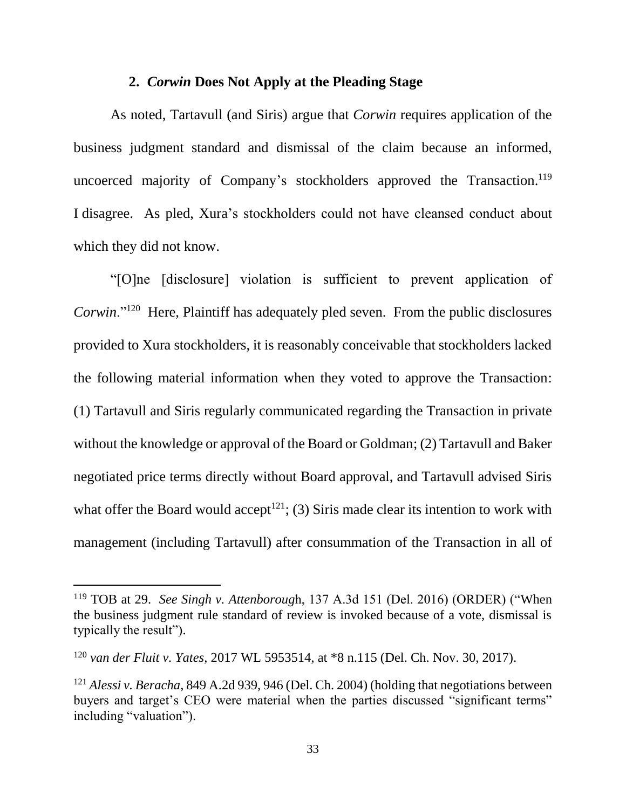### **2.** *Corwin* **Does Not Apply at the Pleading Stage**

As noted, Tartavull (and Siris) argue that *Corwin* requires application of the business judgment standard and dismissal of the claim because an informed, uncoerced majority of Company's stockholders approved the Transaction.<sup>119</sup> I disagree. As pled, Xura's stockholders could not have cleansed conduct about which they did not know.

"[O]ne [disclosure] violation is sufficient to prevent application of Corwin."<sup>120</sup> Here, Plaintiff has adequately pled seven. From the public disclosures provided to Xura stockholders, it is reasonably conceivable that stockholders lacked the following material information when they voted to approve the Transaction: (1) Tartavull and Siris regularly communicated regarding the Transaction in private without the knowledge or approval of the Board or Goldman; (2) Tartavull and Baker negotiated price terms directly without Board approval, and Tartavull advised Siris what offer the Board would accept<sup>121</sup>; (3) Siris made clear its intention to work with management (including Tartavull) after consummation of the Transaction in all of

<sup>119</sup> TOB at 29. *See Singh v. Attenboroug*h, 137 A.3d 151 (Del. 2016) (ORDER) ("When the business judgment rule standard of review is invoked because of a vote, dismissal is typically the result").

<sup>120</sup> *van der Fluit v. Yates*, 2017 WL 5953514, at \*8 n.115 (Del. Ch. Nov. 30, 2017).

<sup>121</sup> *Alessi v. Beracha*, 849 A.2d 939, 946 (Del. Ch. 2004) (holding that negotiations between buyers and target's CEO were material when the parties discussed "significant terms" including "valuation").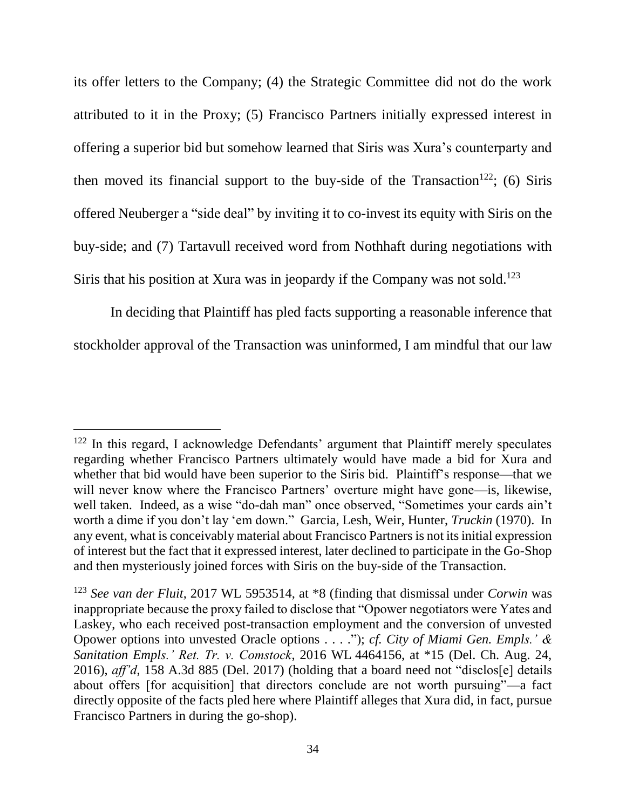its offer letters to the Company; (4) the Strategic Committee did not do the work attributed to it in the Proxy; (5) Francisco Partners initially expressed interest in offering a superior bid but somehow learned that Siris was Xura's counterparty and then moved its financial support to the buy-side of the Transaction<sup>122</sup>; (6) Siris offered Neuberger a "side deal" by inviting it to co-invest its equity with Siris on the buy-side; and (7) Tartavull received word from Nothhaft during negotiations with Siris that his position at Xura was in jeopardy if the Company was not sold.<sup>123</sup>

In deciding that Plaintiff has pled facts supporting a reasonable inference that stockholder approval of the Transaction was uninformed, I am mindful that our law

<sup>&</sup>lt;sup>122</sup> In this regard, I acknowledge Defendants' argument that Plaintiff merely speculates regarding whether Francisco Partners ultimately would have made a bid for Xura and whether that bid would have been superior to the Siris bid. Plaintiff's response—that we will never know where the Francisco Partners' overture might have gone—is, likewise, well taken. Indeed, as a wise "do-dah man" once observed, "Sometimes your cards ain't worth a dime if you don't lay 'em down." Garcia, Lesh, Weir, Hunter, *Truckin* (1970). In any event, what is conceivably material about Francisco Partners is not its initial expression of interest but the fact that it expressed interest, later declined to participate in the Go-Shop and then mysteriously joined forces with Siris on the buy-side of the Transaction.

<sup>123</sup> *See van der Fluit*, 2017 WL 5953514, at \*8 (finding that dismissal under *Corwin* was inappropriate because the proxy failed to disclose that "Opower negotiators were Yates and Laskey, who each received post-transaction employment and the conversion of unvested Opower options into unvested Oracle options . . . ."); *cf. City of Miami Gen. Empls.' & Sanitation Empls.' Ret. Tr. v. Comstock*, 2016 WL 4464156, at \*15 (Del. Ch. Aug. 24, 2016), *aff'd*, 158 A.3d 885 (Del. 2017) (holding that a board need not "disclos[e] details about offers [for acquisition] that directors conclude are not worth pursuing"—a fact directly opposite of the facts pled here where Plaintiff alleges that Xura did, in fact, pursue Francisco Partners in during the go-shop).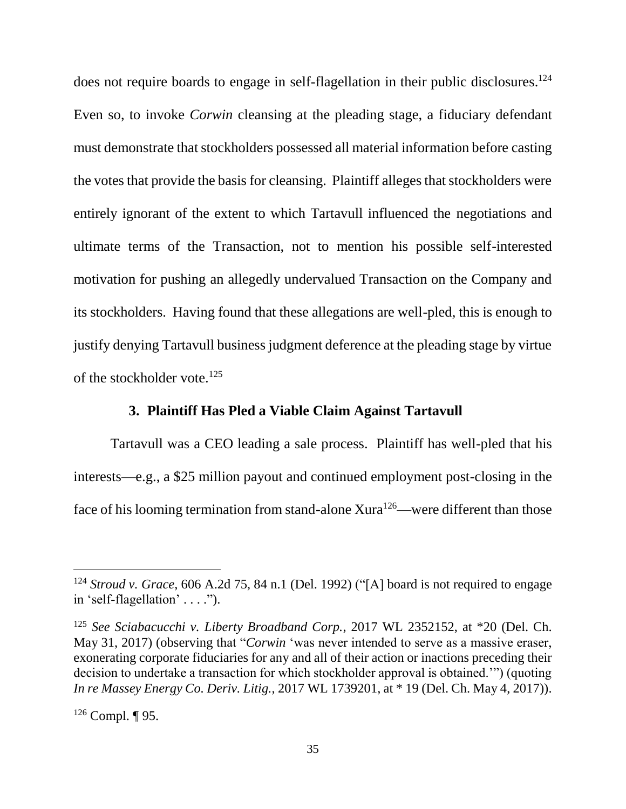does not require boards to engage in self-flagellation in their public disclosures.<sup>124</sup> Even so, to invoke *Corwin* cleansing at the pleading stage, a fiduciary defendant must demonstrate that stockholders possessed all material information before casting the votes that provide the basis for cleansing. Plaintiff alleges that stockholders were entirely ignorant of the extent to which Tartavull influenced the negotiations and ultimate terms of the Transaction, not to mention his possible self-interested motivation for pushing an allegedly undervalued Transaction on the Company and its stockholders. Having found that these allegations are well-pled, this is enough to justify denying Tartavull business judgment deference at the pleading stage by virtue of the stockholder vote.<sup>125</sup>

### **3. Plaintiff Has Pled a Viable Claim Against Tartavull**

Tartavull was a CEO leading a sale process. Plaintiff has well-pled that his interests—e.g., a \$25 million payout and continued employment post-closing in the face of his looming termination from stand-alone Xura<sup>126</sup>—were different than those

<sup>124</sup> *Stroud v. Grace*, 606 A.2d 75, 84 n.1 (Del. 1992) ("[A] board is not required to engage in 'self-flagellation' . . . .").

<sup>125</sup> *See Sciabacucchi v. Liberty Broadband Corp.*, 2017 WL 2352152, at \*20 (Del. Ch. May 31, 2017) (observing that "*Corwin* 'was never intended to serve as a massive eraser, exonerating corporate fiduciaries for any and all of their action or inactions preceding their decision to undertake a transaction for which stockholder approval is obtained.'") (quoting *In re Massey Energy Co. Deriv. Litig.*, 2017 WL 1739201, at \* 19 (Del. Ch. May 4, 2017)).

 $126$  Compl. ¶ 95.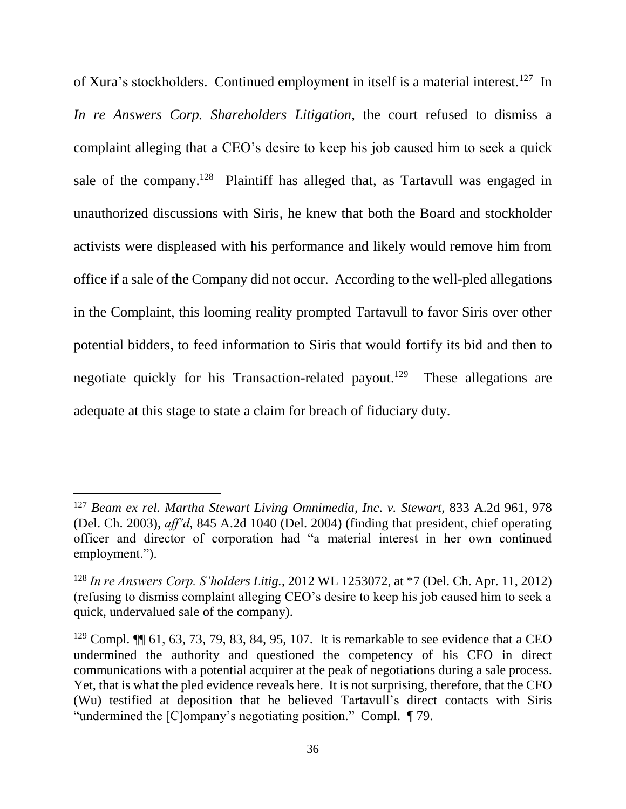of Xura's stockholders. Continued employment in itself is a material interest.<sup>127</sup> In *In re Answers Corp. Shareholders Litigation*, the court refused to dismiss a complaint alleging that a CEO's desire to keep his job caused him to seek a quick sale of the company.<sup>128</sup> Plaintiff has alleged that, as Tartavull was engaged in unauthorized discussions with Siris, he knew that both the Board and stockholder activists were displeased with his performance and likely would remove him from office if a sale of the Company did not occur. According to the well-pled allegations in the Complaint, this looming reality prompted Tartavull to favor Siris over other potential bidders, to feed information to Siris that would fortify its bid and then to negotiate quickly for his Transaction-related payout.<sup>129</sup> These allegations are adequate at this stage to state a claim for breach of fiduciary duty.

<sup>127</sup> *Beam ex rel. Martha Stewart Living Omnimedia, Inc. v. Stewart*, 833 A.2d 961, 978 (Del. Ch. 2003), *aff'd*, 845 A.2d 1040 (Del. 2004) (finding that president, chief operating officer and director of corporation had "a material interest in her own continued employment.").

<sup>128</sup> *In re Answers Corp. S'holders Litig.*, 2012 WL 1253072, at \*7 (Del. Ch. Apr. 11, 2012) (refusing to dismiss complaint alleging CEO's desire to keep his job caused him to seek a quick, undervalued sale of the company).

<sup>&</sup>lt;sup>129</sup> Compl.  $\P$  61, 63, 73, 79, 83, 84, 95, 107. It is remarkable to see evidence that a CEO undermined the authority and questioned the competency of his CFO in direct communications with a potential acquirer at the peak of negotiations during a sale process. Yet, that is what the pled evidence reveals here. It is not surprising, therefore, that the CFO (Wu) testified at deposition that he believed Tartavull's direct contacts with Siris "undermined the [C]ompany's negotiating position." Compl. ¶ 79.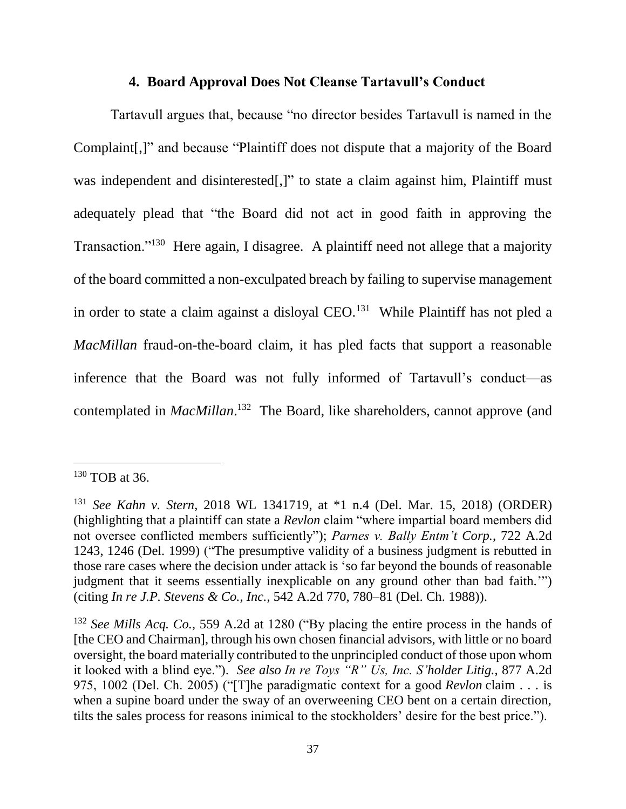#### **4. Board Approval Does Not Cleanse Tartavull's Conduct**

Tartavull argues that, because "no director besides Tartavull is named in the Complaint[,]" and because "Plaintiff does not dispute that a majority of the Board was independent and disinterested[,]" to state a claim against him, Plaintiff must adequately plead that "the Board did not act in good faith in approving the Transaction."<sup>130</sup> Here again, I disagree. A plaintiff need not allege that a majority of the board committed a non-exculpated breach by failing to supervise management in order to state a claim against a disloyal CEO.<sup>131</sup> While Plaintiff has not pled a *MacMillan* fraud-on-the-board claim, it has pled facts that support a reasonable inference that the Board was not fully informed of Tartavull's conduct—as contemplated in *MacMillan*. <sup>132</sup> The Board, like shareholders, cannot approve (and

<sup>130</sup> TOB at 36.

<sup>131</sup> *See Kahn v. Stern*, 2018 WL 1341719, at \*1 n.4 (Del. Mar. 15, 2018) (ORDER) (highlighting that a plaintiff can state a *Revlon* claim "where impartial board members did not oversee conflicted members sufficiently"); *Parnes v. Bally Entm't Corp.*, 722 A.2d 1243, 1246 (Del. 1999) ("The presumptive validity of a business judgment is rebutted in those rare cases where the decision under attack is 'so far beyond the bounds of reasonable judgment that it seems essentially inexplicable on any ground other than bad faith.'") (citing *In re J.P. Stevens & Co., Inc.*, 542 A.2d 770, 780–81 (Del. Ch. 1988)).

<sup>132</sup> *See Mills Acq. Co.*, 559 A.2d at 1280 ("By placing the entire process in the hands of [the CEO and Chairman], through his own chosen financial advisors, with little or no board oversight, the board materially contributed to the unprincipled conduct of those upon whom it looked with a blind eye."). *See also In re Toys "R" Us, Inc. S'holder Litig.*, 877 A.2d 975, 1002 (Del. Ch. 2005) ("[T]he paradigmatic context for a good *Revlon* claim . . . is when a supine board under the sway of an overweening CEO bent on a certain direction, tilts the sales process for reasons inimical to the stockholders' desire for the best price.").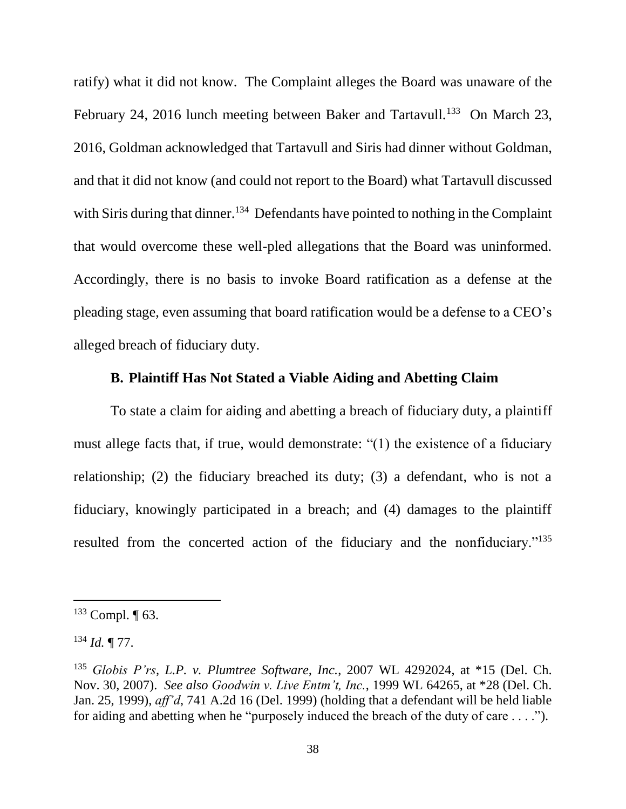ratify) what it did not know. The Complaint alleges the Board was unaware of the February 24, 2016 lunch meeting between Baker and Tartavull.<sup>133</sup> On March 23, 2016, Goldman acknowledged that Tartavull and Siris had dinner without Goldman, and that it did not know (and could not report to the Board) what Tartavull discussed with Siris during that dinner.<sup>134</sup> Defendants have pointed to nothing in the Complaint that would overcome these well-pled allegations that the Board was uninformed. Accordingly, there is no basis to invoke Board ratification as a defense at the pleading stage, even assuming that board ratification would be a defense to a CEO's alleged breach of fiduciary duty.

## **B. Plaintiff Has Not Stated a Viable Aiding and Abetting Claim**

To state a claim for aiding and abetting a breach of fiduciary duty, a plaintiff must allege facts that, if true, would demonstrate: "(1) the existence of a fiduciary relationship; (2) the fiduciary breached its duty; (3) a defendant, who is not a fiduciary, knowingly participated in a breach; and (4) damages to the plaintiff resulted from the concerted action of the fiduciary and the nonfiduciary."<sup>135</sup>

 $133$  Compl.  $\P$  63.

<sup>134</sup> *Id.* ¶ 77.

<sup>135</sup> *Globis P'rs, L.P. v. Plumtree Software, Inc.*, 2007 WL 4292024, at \*15 (Del. Ch. Nov. 30, 2007). *See also Goodwin v. Live Entm't, Inc.*, 1999 WL 64265, at \*28 (Del. Ch. Jan. 25, 1999), *aff'd*, 741 A.2d 16 (Del. 1999) (holding that a defendant will be held liable for aiding and abetting when he "purposely induced the breach of the duty of care . . . .").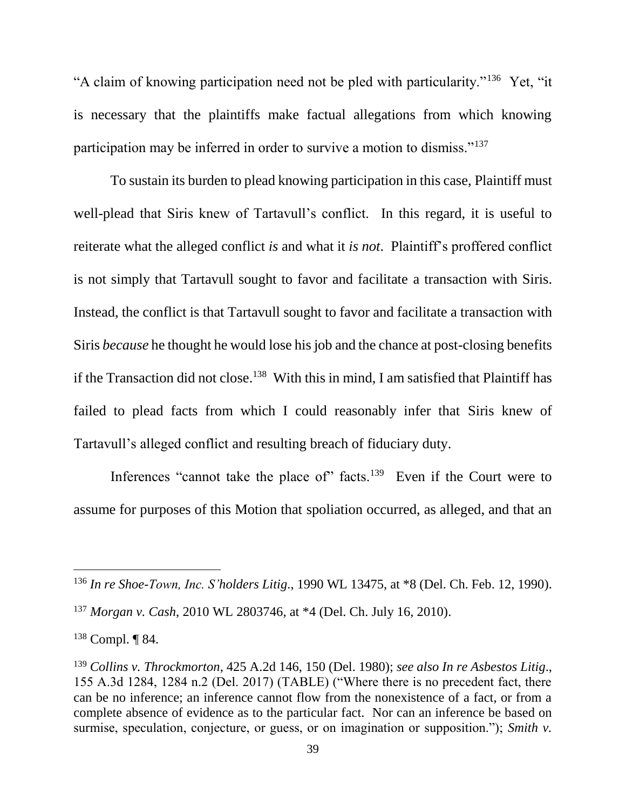"A claim of knowing participation need not be pled with particularity."<sup>136</sup> Yet, "it is necessary that the plaintiffs make factual allegations from which knowing participation may be inferred in order to survive a motion to dismiss."<sup>137</sup>

To sustain its burden to plead knowing participation in this case, Plaintiff must well-plead that Siris knew of Tartavull's conflict. In this regard, it is useful to reiterate what the alleged conflict *is* and what it *is not*. Plaintiff's proffered conflict is not simply that Tartavull sought to favor and facilitate a transaction with Siris. Instead, the conflict is that Tartavull sought to favor and facilitate a transaction with Siris *because* he thought he would lose his job and the chance at post-closing benefits if the Transaction did not close. <sup>138</sup> With this in mind, I am satisfied that Plaintiff has failed to plead facts from which I could reasonably infer that Siris knew of Tartavull's alleged conflict and resulting breach of fiduciary duty.

Inferences "cannot take the place of" facts.<sup>139</sup> Even if the Court were to assume for purposes of this Motion that spoliation occurred, as alleged, and that an

<sup>136</sup> *In re Shoe-Town, Inc. S'holders Litig*., 1990 WL 13475, at \*8 (Del. Ch. Feb. 12, 1990).

<sup>137</sup> *Morgan v. Cash*, 2010 WL 2803746, at \*4 (Del. Ch. July 16, 2010).

<sup>138</sup> Compl. ¶ 84.

<sup>139</sup> *Collins v. Throckmorton*, 425 A.2d 146, 150 (Del. 1980); *see also In re Asbestos Litig*., 155 A.3d 1284, 1284 n.2 (Del. 2017) (TABLE) ("Where there is no precedent fact, there can be no inference; an inference cannot flow from the nonexistence of a fact, or from a complete absence of evidence as to the particular fact. Nor can an inference be based on surmise, speculation, conjecture, or guess, or on imagination or supposition."); *Smith v.*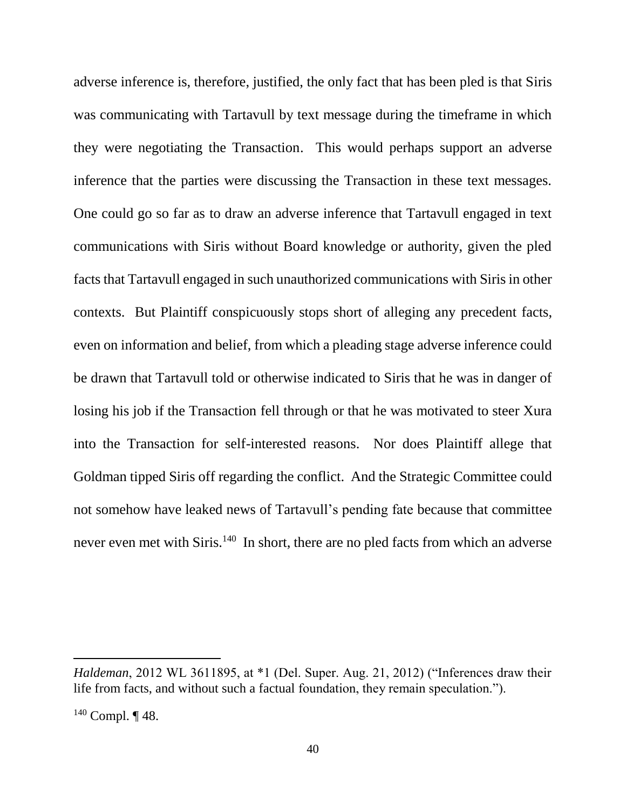adverse inference is, therefore, justified, the only fact that has been pled is that Siris was communicating with Tartavull by text message during the timeframe in which they were negotiating the Transaction. This would perhaps support an adverse inference that the parties were discussing the Transaction in these text messages. One could go so far as to draw an adverse inference that Tartavull engaged in text communications with Siris without Board knowledge or authority, given the pled facts that Tartavull engaged in such unauthorized communications with Siris in other contexts. But Plaintiff conspicuously stops short of alleging any precedent facts, even on information and belief, from which a pleading stage adverse inference could be drawn that Tartavull told or otherwise indicated to Siris that he was in danger of losing his job if the Transaction fell through or that he was motivated to steer Xura into the Transaction for self-interested reasons. Nor does Plaintiff allege that Goldman tipped Siris off regarding the conflict. And the Strategic Committee could not somehow have leaked news of Tartavull's pending fate because that committee never even met with Siris.<sup>140</sup> In short, there are no pled facts from which an adverse

*Haldeman*, 2012 WL 3611895, at \*1 (Del. Super. Aug. 21, 2012) ("Inferences draw their life from facts, and without such a factual foundation, they remain speculation.").

 $140$  Compl.  $\P$  48.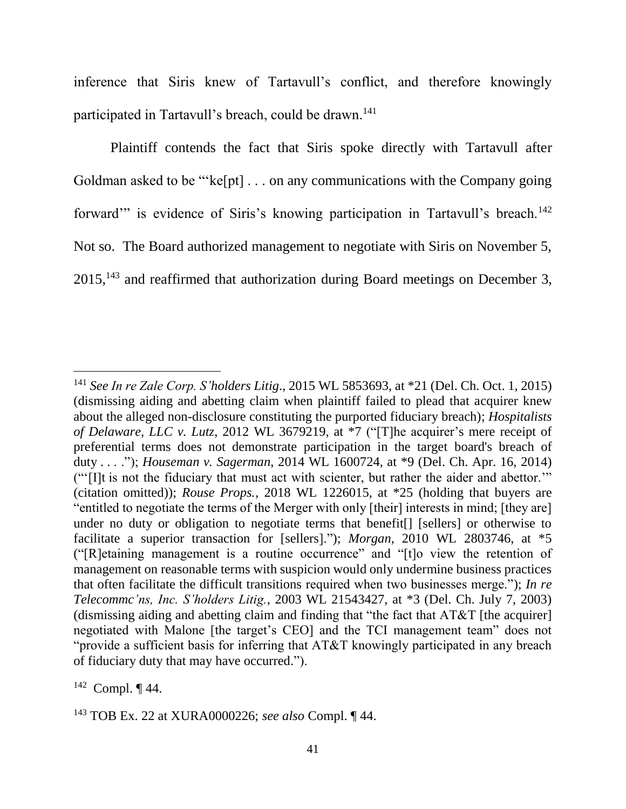inference that Siris knew of Tartavull's conflict, and therefore knowingly participated in Tartavull's breach, could be drawn.<sup>141</sup>

Plaintiff contends the fact that Siris spoke directly with Tartavull after Goldman asked to be "'ke[pt] . . . on any communications with the Company going forward" is evidence of Siris's knowing participation in Tartavull's breach.<sup>142</sup> Not so. The Board authorized management to negotiate with Siris on November 5,  $2015$ ,<sup>143</sup> and reaffirmed that authorization during Board meetings on December 3,

<sup>141</sup> *See In re Zale Corp. S'holders Litig*., 2015 WL 5853693, at \*21 (Del. Ch. Oct. 1, 2015) (dismissing aiding and abetting claim when plaintiff failed to plead that acquirer knew about the alleged non-disclosure constituting the purported fiduciary breach); *Hospitalists of Delaware, LLC v. Lutz*, 2012 WL 3679219, at \*7 ("[T]he acquirer's mere receipt of preferential terms does not demonstrate participation in the target board's breach of duty . . . ."); *Houseman v. Sagerman*, 2014 WL 1600724, at \*9 (Del. Ch. Apr. 16, 2014) ("'[I]t is not the fiduciary that must act with scienter, but rather the aider and abettor.'" (citation omitted)); *Rouse Props.*, 2018 WL 1226015, at \*25 (holding that buyers are "entitled to negotiate the terms of the Merger with only [their] interests in mind; [they are] under no duty or obligation to negotiate terms that benefit[] [sellers] or otherwise to facilitate a superior transaction for [sellers]."); *Morgan*, 2010 WL 2803746, at \*5 ("[R]etaining management is a routine occurrence" and "[t]o view the retention of management on reasonable terms with suspicion would only undermine business practices that often facilitate the difficult transitions required when two businesses merge."); *In re Telecommc'ns, Inc. S'holders Litig.*, 2003 WL 21543427, at \*3 (Del. Ch. July 7, 2003) (dismissing aiding and abetting claim and finding that "the fact that AT&T [the acquirer] negotiated with Malone [the target's CEO] and the TCI management team" does not "provide a sufficient basis for inferring that AT&T knowingly participated in any breach of fiduciary duty that may have occurred.").

 $142$  Compl.  $\P$  44.

<sup>143</sup> TOB Ex. 22 at XURA0000226; *see also* Compl. ¶ 44.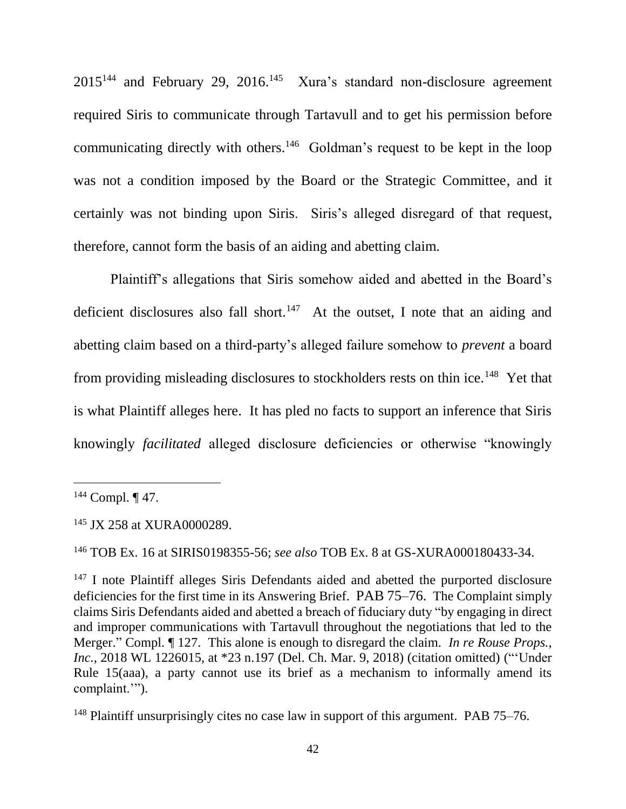$2015^{144}$  and February 29, 2016.<sup>145</sup> Xura's standard non-disclosure agreement required Siris to communicate through Tartavull and to get his permission before communicating directly with others. $146$  Goldman's request to be kept in the loop was not a condition imposed by the Board or the Strategic Committee, and it certainly was not binding upon Siris. Siris's alleged disregard of that request, therefore, cannot form the basis of an aiding and abetting claim.

Plaintiff's allegations that Siris somehow aided and abetted in the Board's deficient disclosures also fall short.<sup>147</sup> At the outset, I note that an aiding and abetting claim based on a third-party's alleged failure somehow to *prevent* a board from providing misleading disclosures to stockholders rests on thin ice.<sup>148</sup> Yet that is what Plaintiff alleges here. It has pled no facts to support an inference that Siris knowingly *facilitated* alleged disclosure deficiencies or otherwise "knowingly

 $\overline{a}$ 

<sup>146</sup> TOB Ex. 16 at SIRIS0198355-56; *see also* TOB Ex. 8 at GS-XURA000180433-34.

 $144$  Compl.  $\P$  47.

<sup>&</sup>lt;sup>145</sup> JX 258 at XURA0000289.

<sup>&</sup>lt;sup>147</sup> I note Plaintiff alleges Siris Defendants aided and abetted the purported disclosure deficiencies for the first time in its Answering Brief. PAB 75–76. The Complaint simply claims Siris Defendants aided and abetted a breach of fiduciary duty "by engaging in direct and improper communications with Tartavull throughout the negotiations that led to the Merger." Compl. ¶ 127. This alone is enough to disregard the claim. *In re Rouse Props., Inc.*, 2018 WL 1226015, at \*23 n.197 (Del. Ch. Mar. 9, 2018) (citation omitted) ("'Under Rule 15(aaa), a party cannot use its brief as a mechanism to informally amend its complaint.'").

<sup>&</sup>lt;sup>148</sup> Plaintiff unsurprisingly cites no case law in support of this argument. PAB 75–76.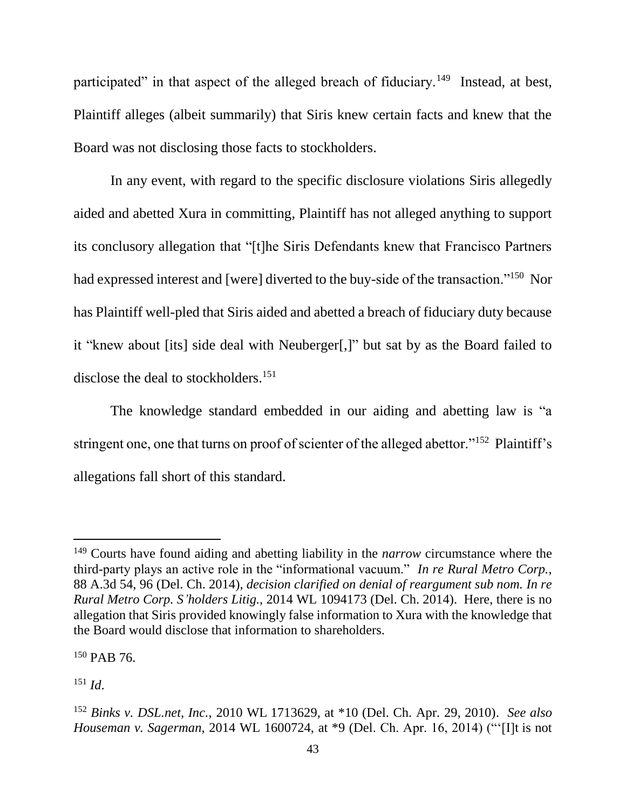participated" in that aspect of the alleged breach of fiduciary.<sup>149</sup> Instead, at best, Plaintiff alleges (albeit summarily) that Siris knew certain facts and knew that the Board was not disclosing those facts to stockholders.

In any event, with regard to the specific disclosure violations Siris allegedly aided and abetted Xura in committing, Plaintiff has not alleged anything to support its conclusory allegation that "[t]he Siris Defendants knew that Francisco Partners had expressed interest and [were] diverted to the buy-side of the transaction."<sup>150</sup> Nor has Plaintiff well-pled that Siris aided and abetted a breach of fiduciary duty because it "knew about [its] side deal with Neuberger[,]" but sat by as the Board failed to disclose the deal to stockholders.<sup>151</sup>

The knowledge standard embedded in our aiding and abetting law is "a stringent one, one that turns on proof of scienter of the alleged abettor."<sup>152</sup> Plaintiff's allegations fall short of this standard.

<sup>150</sup> PAB 76.

 $151 \, Id.$ 

<sup>149</sup> Courts have found aiding and abetting liability in the *narrow* circumstance where the third-party plays an active role in the "informational vacuum." *In re Rural Metro Corp.*, 88 A.3d 54, 96 (Del. Ch. 2014), *decision clarified on denial of reargument sub nom. In re Rural Metro Corp. S'holders Litig.*, 2014 WL 1094173 (Del. Ch. 2014). Here, there is no allegation that Siris provided knowingly false information to Xura with the knowledge that the Board would disclose that information to shareholders.

<sup>152</sup> *Binks v. DSL.net, Inc.*, 2010 WL 1713629, at \*10 (Del. Ch. Apr. 29, 2010). *See also Houseman v. Sagerman*, 2014 WL 1600724, at \*9 (Del. Ch. Apr. 16, 2014) ("'[I]t is not